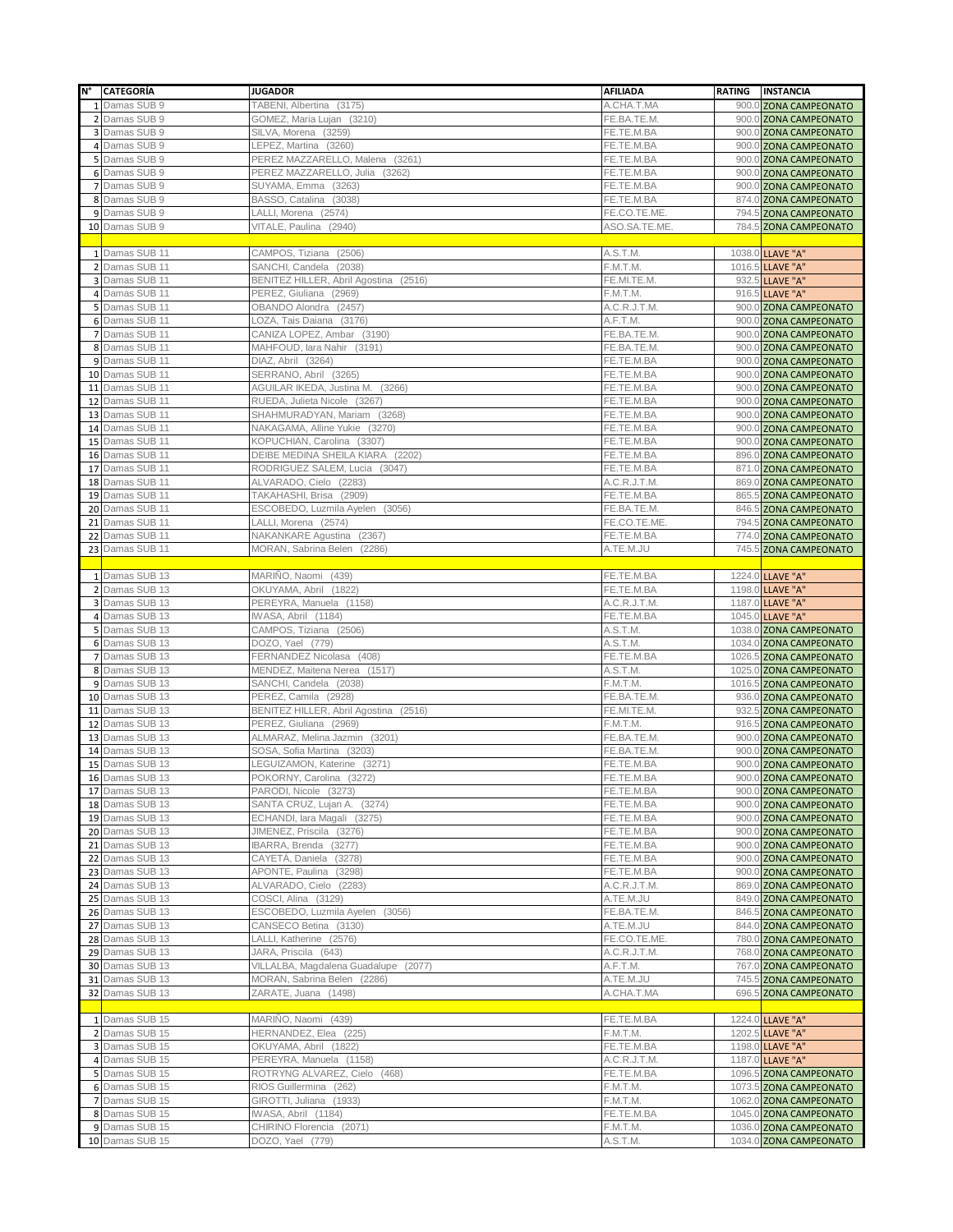|    | N° CATEGORÍA                       | <b>JUGADOR</b>                                             | <b>AFILIADA</b>            | RATING | <b>INSTANCIA</b>                                 |
|----|------------------------------------|------------------------------------------------------------|----------------------------|--------|--------------------------------------------------|
|    | 1 Damas SUB 9                      | TABENI, Albertina (3175)                                   | A.CHA.T.MA                 |        | 900.0 ZONA CAMPEONATO                            |
|    | 2 Damas SUB 9                      | GOMEZ, Maria Lujan (3210)                                  | FE.BA.TE.M.                |        | 900.0 ZONA CAMPEONATO                            |
|    | 3 Damas SUB 9                      | SILVA, Morena (3259)                                       | FE.TE.M.BA                 |        | 900.0 ZONA CAMPEONATO                            |
|    | 4 Damas SUB 9                      | LEPEZ, Martina (3260)                                      | FE.TE.M.BA                 |        | 900.0 ZONA CAMPEONATO                            |
|    | 5 Damas SUB 9                      | PEREZ MAZZARELLO, Malena (3261)                            | FE.TE.M.BA                 |        | 900.0 ZONA CAMPEONATO                            |
|    | 6 Damas SUB 9                      | PEREZ MAZZARELLO, Julia (3262)                             | FE.TE.M.BA                 |        | 900.0 ZONA CAMPEONATO                            |
|    | 7 Damas SUB 9                      | SUYAMA, Emma (3263)                                        | FE.TE.M.BA                 |        | 900.0 ZONA CAMPEONATO                            |
|    | 8 Damas SUB 9                      | BASSO, Catalina (3038)                                     | FE.TE.M.BA                 |        | 874.0 ZONA CAMPEONATO                            |
|    | 9 Damas SUB 9                      | LALLI, Morena (2574)                                       | FE.CO.TE.ME                |        | 794.5 ZONA CAMPEONATO                            |
|    | 10 Damas SUB 9                     | VITALE, Paulina (2940)                                     | ASO.SA.TE.ME.              |        | 784.5 ZONA CAMPEONATO                            |
|    | 1 Damas SUB 11                     | CAMPOS, Tiziana (2506)                                     |                            |        |                                                  |
|    | 2 Damas SUB 11                     | SANCHI, Candela (2038)                                     | A.S.T.M.<br>F.M.T.M.       |        | 1038.0 LLAVE "A"                                 |
|    | 3 Damas SUB 11                     | BENITEZ HILLER, Abril Agostina (2516)                      | FE.MI.TE.M.                |        | 1016.5 LLAVE "A"<br>932.5 LLAVE "A"              |
|    | 4 Damas SUB 11                     | PEREZ, Giuliana (2969)                                     | F.M.T.M.                   |        | 916.5 LLAVE "A"                                  |
|    | 5 Damas SUB 11                     | OBANDO Alondra (2457)                                      | A.C.R.J.T.M.               |        | 900.0 ZONA CAMPEONATO                            |
|    | 6 Damas SUB 11                     | LOZA, Tais Daiana (3176)                                   | A.F.T.M.                   |        | 900.0 ZONA CAMPEONATO                            |
|    | 7 Damas SUB 11                     | CANIZA LOPEZ, Ambar (3190)                                 | FE.BA.TE.M.                |        | 900.0 ZONA CAMPEONATO                            |
|    | 8 Damas SUB 11                     | MAHFOUD, Iara Nahir (3191)                                 | FE.BA.TE.M.                |        | 900.0 ZONA CAMPEONATO                            |
|    | 9 Damas SUB 11                     | DIAZ, Abril (3264)                                         | FE.TE.M.BA                 |        | 900.0 ZONA CAMPEONATO                            |
|    | 10 Damas SUB 11                    | SERRANO, Abril (3265)                                      | FE.TE.M.BA                 |        | 900.0 ZONA CAMPEONATO                            |
|    | 11 Damas SUB 11                    | AGUILAR IKEDA, Justina M. (3266)                           | FE.TE.M.BA                 |        | 900.0 ZONA CAMPEONATO                            |
|    | 12 Damas SUB 11                    | RUEDA, Julieta Nicole (3267)                               | FE.TE.M.BA                 |        | 900.0 ZONA CAMPEONATO                            |
|    | 13 Damas SUB 11                    | SHAHMURADYAN, Mariam (3268)                                | FE.TE.M.BA                 |        | 900.0 ZONA CAMPEONATO                            |
|    | 14 Damas SUB 11                    | NAKAGAMA, Alline Yukie (3270)                              | FE.TE.M.BA                 |        | 900.0 ZONA CAMPEONATO                            |
|    | 15 Damas SUB 11                    | KOPUCHIAN, Carolina (3307)                                 | FE.TE.M.BA                 |        | 900.0 ZONA CAMPEONATO                            |
|    | 16 Damas SUB 11                    | DEIBE MEDINA SHEILA KIARA (2202)                           | FE.TE.M.BA                 |        | 896.0 ZONA CAMPEONATO                            |
|    | 17 Damas SUB 11                    | RODRIGUEZ SALEM, Lucia (3047)                              | FE.TE.M.BA                 |        | 871.0 ZONA CAMPEONATO                            |
|    | 18 Damas SUB 11                    | ALVARADO, Cielo (2283)                                     | A.C.R.J.T.M.               |        | 869.0 ZONA CAMPEONATO                            |
|    | 19 Damas SUB 11                    | TAKAHASHI, Brisa (2909)                                    | FE.TE.M.BA                 |        | 865.5 ZONA CAMPEONATO                            |
|    | 20 Damas SUB 11                    | ESCOBEDO, Luzmila Ayelen (3056)                            | FE.BA.TE.M.                |        | 846.5 ZONA CAMPEONATO                            |
|    | 21 Damas SUB 11<br>22 Damas SUB 11 | LALLI, Morena (2574)<br>NAKANKARE Agustina (2367)          | FE.CO.TE.ME<br>FE.TE.M.BA  |        | 794.5 ZONA CAMPEONATO                            |
|    | 23 Damas SUB 11                    | MORAN, Sabrina Belen (2286)                                | A.TE.M.JU                  |        | 774.0 ZONA CAMPEONATO<br>745.5 ZONA CAMPEONATO   |
|    |                                    |                                                            |                            |        |                                                  |
|    | 1 Damas SUB 13                     | MARIÑO, Naomi (439)                                        | FE.TE.M.BA                 |        | 1224.0 LLAVE "A"                                 |
|    | 2 Damas SUB 13                     | OKUYAMA, Abril (1822)                                      | FE.TE.M.BA                 |        | 1198.0 LLAVE "A"                                 |
|    | 3 Damas SUB 13                     | PEREYRA, Manuela (1158)                                    | A.C.R.J.T.M.               |        | 1187.0 LLAVE "A"                                 |
|    | 4 Damas SUB 13                     | IWASA, Abril (1184)                                        | FE.TE.M.BA                 |        | 1045.0 LLAVE "A"                                 |
|    | 5 Damas SUB 13                     | CAMPOS, Tiziana (2506)                                     | A.S.T.M.                   |        | 1038.0 ZONA CAMPEONATO                           |
|    | 6 Damas SUB 13                     | DOZO, Yael (779)                                           | A.S.T.M.                   |        | 1034.0 ZONA CAMPEONATO                           |
|    | 7 Damas SUB 13                     | FERNANDEZ Nicolasa (408)                                   | FE.TE.M.BA                 |        | 1026.5 ZONA CAMPEONATO                           |
|    | 8 Damas SUB 13                     | MENDEZ, Maitena Nerea (1517)                               | A.S.T.M.                   |        | 1025.0 ZONA CAMPEONATO                           |
|    | 9 Damas SUB 13                     | SANCHI, Candela (2038)                                     | F.M.T.M.                   |        | 1016.5 ZONA CAMPEONATO                           |
|    | 10 Damas SUB 13                    | PEREZ, Camila (2928)                                       | FE.BA.TE.M.                |        | 936.0 ZONA CAMPEONATO                            |
|    | 11 Damas SUB 13                    | BENITEZ HILLER, Abril Agostina (2516)                      | FE.MI.TE.M.                |        | 932.5 ZONA CAMPEONATO                            |
|    | 12 Damas SUB 13                    | PEREZ, Giuliana (2969)                                     | F.M.T.M.                   |        | 916.5 ZONA CAMPEONATO                            |
|    | 13 Damas SUB 13                    | ALMARAZ, Melina Jazmin (3201)                              | FE.BA.TE.M.                |        | 900.0 ZONA CAMPEONATO                            |
| 14 | Damas SUB 13                       | SOSA, Sofia Martina (3203)                                 | FE.BA.TE.M.                |        | 900.0 ZONA CAMPEONATO                            |
|    | 15 Damas SUB 13                    | LEGUIZAMON, Katerine (3271)                                | FE.TE.M.BA                 |        | 900.0 ZONA CAMPEONATO                            |
|    | 16 Damas SUB 13                    | POKORNY, Carolina (3272)                                   | FE.TE.M.BA                 |        | 900.0 ZONA CAMPEONATO                            |
|    | 17 Damas SUB 13                    | PARODI, Nicole (3273)                                      | FE.TE.M.BA                 |        | 900.0 ZONA CAMPEONATO                            |
|    | 18 Damas SUB 13<br>19 Damas SUB 13 | SANTA CRUZ, Lujan A. (3274)<br>ECHANDI, lara Magali (3275) | FE.TE.M.BA<br>FE.TE.M.BA   |        | 900.0 ZONA CAMPEONATO<br>900.0 ZONA CAMPEONATO   |
|    | 20 Damas SUB 13                    | JIMENEZ, Priscila (3276)                                   | FE.TE.M.BA                 |        | 900.0 ZONA CAMPEONATO                            |
|    | 21 Damas SUB 13                    | IBARRA, Brenda (3277)                                      | FE.TE.M.BA                 |        | 900.0 ZONA CAMPEONATO                            |
|    | 22 Damas SUB 13                    | CAYETÁ, Daniela (3278)                                     | FE.TE.M.BA                 |        | 900.0 ZONA CAMPEONATO                            |
|    | 23 Damas SUB 13                    | APONTE, Paulina (3298)                                     | FE.TE.M.BA                 |        | 900.0 ZONA CAMPEONATO                            |
|    | 24 Damas SUB 13                    | ALVARADO, Cielo (2283)                                     | A.C.R.J.T.M.               |        | 869.0 ZONA CAMPEONATO                            |
|    | 25 Damas SUB 13                    | COSCI, Alina (3129)                                        | A.TE.M.JU                  |        | 849.0 ZONA CAMPEONATO                            |
|    | 26 Damas SUB 13                    | ESCOBEDO, Luzmila Ayelen (3056)                            | FE.BA.TE.M.                |        | 846.5 ZONA CAMPEONATO                            |
|    | 27 Damas SUB 13                    | CANSECO Betina (3130)                                      | A.TE.M.JU                  |        | 844.0 ZONA CAMPEONATO                            |
|    | 28 Damas SUB 13                    | LALLI, Katherine (2576)                                    | FE.CO.TE.ME.               |        | 780.0 ZONA CAMPEONATO                            |
|    | 29 Damas SUB 13                    | JARA, Priscila (643)                                       | A.C.R.J.T.M.               |        | 768.0 ZONA CAMPEONATO                            |
|    | 30 Damas SUB 13                    | VILLALBA, Magdalena Guadalupe (2077)                       | A.F.T.M.                   |        | 767.0 ZONA CAMPEONATO                            |
|    | 31 Damas SUB 13                    | MORAN, Sabrina Belen (2286)                                | A.TE.M.JU                  |        | 745.5 ZONA CAMPEONATO                            |
|    | 32 Damas SUB 13                    | ZARATE, Juana (1498)                                       | A.CHA.T.MA                 |        | 696.5 ZONA CAMPEONATO                            |
|    |                                    |                                                            |                            |        |                                                  |
|    | 1 Damas SUB 15                     | MARIÑO, Naomi (439)                                        | FE.TE.M.BA                 |        | 1224.0 LLAVE "A"                                 |
|    | 2 Damas SUB 15                     | HERNANDEZ, Elea (225)                                      | F.M.T.M.                   |        | 1202.5 LLAVE "A"                                 |
|    | 3 Damas SUB 15                     | OKUYAMA, Abril (1822)                                      | FE.TE.M.BA                 |        | 1198.0 LLAVE "A"                                 |
|    | 4 Damas SUB 15<br>5 Damas SUB 15   | PEREYRA, Manuela (1158)<br>ROTRYNG ALVAREZ, Cielo (468)    | A.C.R.J.T.M.<br>FE.TE.M.BA |        | 1187.0 LLAVE "A"                                 |
|    | 6 Damas SUB 15                     | RIOS Guillermina (262)                                     | F.M.T.M.                   |        | 1096.5 ZONA CAMPEONATO<br>1073.5 ZONA CAMPEONATO |
|    | 7 Damas SUB 15                     | GIROTTI, Juliana (1933)                                    | F.M.T.M.                   |        | 1062.0 ZONA CAMPEONATO                           |
|    | 8 Damas SUB 15                     | IWASA, Abril (1184)                                        | FE.TE.M.BA                 |        | 1045.0 ZONA CAMPEONATO                           |
|    | 9 Damas SUB 15                     | CHIRINO Florencia (2071)                                   | F.M.T.M.                   |        | 1036.0 ZONA CAMPEONATO                           |
|    | 10 Damas SUB 15                    | DOZO, Yael (779)                                           | A.S.T.M.                   |        | 1034.0 ZONA CAMPEONATO                           |
|    |                                    |                                                            |                            |        |                                                  |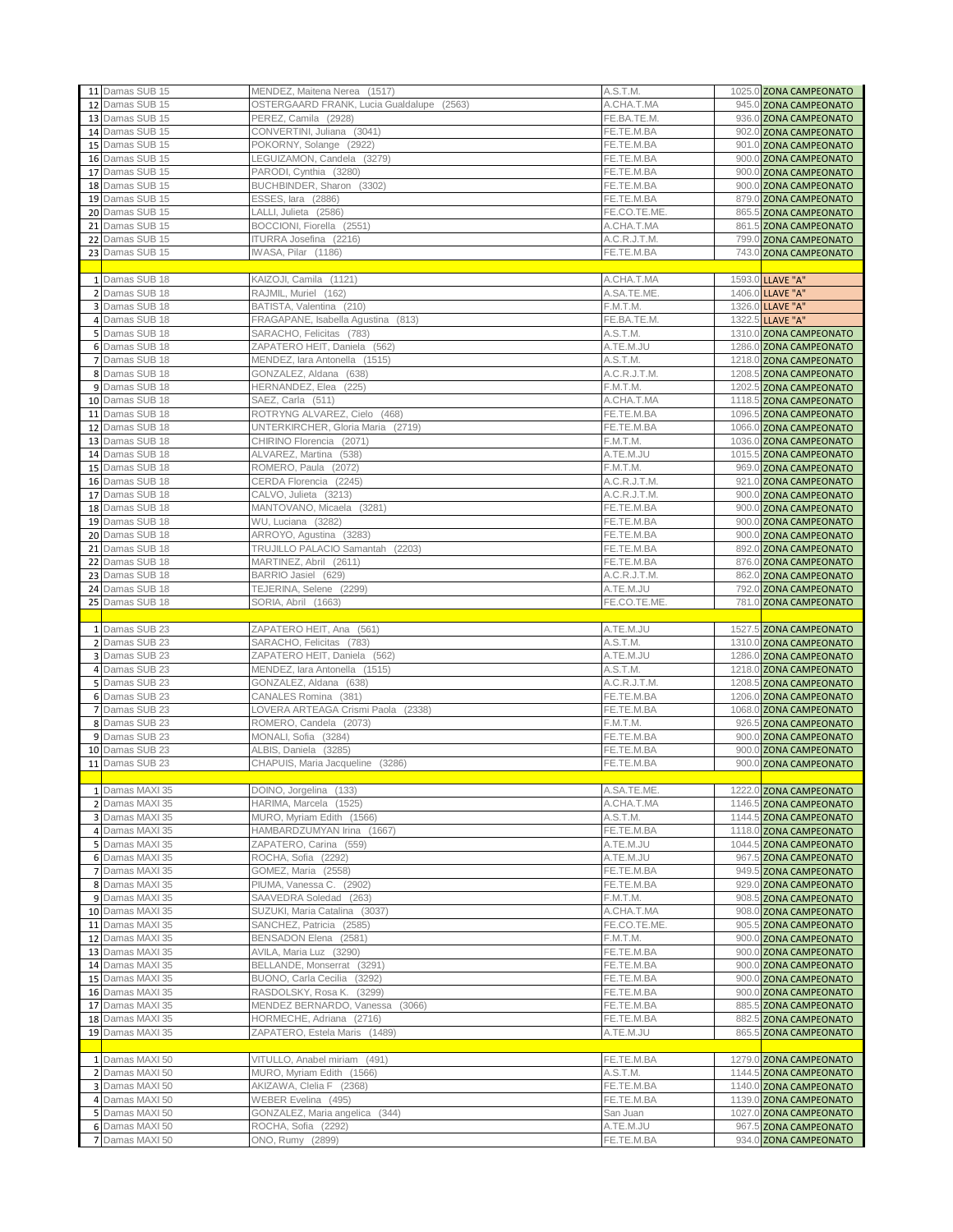| 11 Damas SUB 15                      | MENDEZ, Maitena Nerea (1517)                                  | A.S.T.M.                   | 1025.0 ZONA CAMPEONATO                           |
|--------------------------------------|---------------------------------------------------------------|----------------------------|--------------------------------------------------|
| 12 Damas SUB 15                      | OSTERGAARD FRANK, Lucia Gualdalupe (2563)                     | A.CHA.T.MA                 | 945.0 ZONA CAMPEONATO                            |
| 13 Damas SUB 15                      | PEREZ, Camila (2928)                                          | FE.BA.TE.M.                | 936.0 ZONA CAMPEONATO                            |
| 14 Damas SUB 15<br>15 Damas SUB 15   | CONVERTINI, Juliana (3041)<br>POKORNY, Solange (2922)         | FE.TE.M.BA<br>FE.TE.M.BA   | 902.0 ZONA CAMPEONATO<br>901.0 ZONA CAMPEONATO   |
| 16 Damas SUB 15                      | LEGUIZAMON, Candela (3279)                                    | FE.TE.M.BA                 | 900.0 ZONA CAMPEONATO                            |
| 17 Damas SUB 15                      | PARODI, Cynthia (3280)                                        | FE.TE.M.BA                 | 900.0 ZONA CAMPEONATO                            |
| 18 Damas SUB 15                      | BUCHBINDER, Sharon (3302)                                     | FE.TE.M.BA                 | 900.0 ZONA CAMPEONATO                            |
| 19 Damas SUB 15                      | ESSES, lara (2886)                                            | FE.TE.M.BA                 | 879.0 ZONA CAMPEONATO                            |
| 20 Damas SUB 15                      | LALLI, Julieta (2586)                                         | FE.CO.TE.ME.               | 865.5 ZONA CAMPEONATO                            |
| 21 Damas SUB 15                      | BOCCIONI, Fiorella (2551)                                     | A.CHA.T.MA                 | 861.5 ZONA CAMPEONATO                            |
| 22 Damas SUB 15<br>23 Damas SUB 15   | ITURRA Josefina (2216)<br>IWASA, Pilar (1186)                 | A.C.R.J.T.M.<br>FE.TE.M.BA | 799.0 ZONA CAMPEONATO<br>743.0 ZONA CAMPEONATO   |
|                                      |                                                               |                            |                                                  |
| 1 Damas SUB 18                       | KAIZOJI, Camila (1121)                                        | A.CHA.T.MA                 | 1593.0 LLAVE "A"                                 |
| 2 Damas SUB 18                       | RAJMIL, Muriel (162)                                          | A.SA.TE.ME.                | 1406.0 LLAVE "A"                                 |
| 3 Damas SUB 18                       | BATISTA, Valentina (210)                                      | F.M.T.M.                   | 1326.0 LLAVE "A"                                 |
| 4 Damas SUB 18                       | FRAGAPANE, Isabella Agustina (813)                            | FE.BA.TE.M.                | 1322.5 LLAVE "A"                                 |
| 5 Damas SUB 18                       | SARACHO, Felicitas (783)                                      | A.S.T.M.                   | 1310.0 ZONA CAMPEONATO                           |
| 6 Damas SUB 18<br>7 Damas SUB 18     | ZAPATERO HEIT, Daniela (562)<br>MENDEZ, Iara Antonella (1515) | A.TE.M.JU<br>A.S.T.M.      | 1286.0 ZONA CAMPEONATO<br>1218.0 ZONA CAMPEONATO |
| 8 Damas SUB 18                       | GONZALEZ, Aldana (638)                                        | A.C.R.J.T.M.               | 1208.5 ZONA CAMPEONATO                           |
| 9 Damas SUB 18                       | HERNANDEZ, Elea (225)                                         | F.M.T.M.                   | 1202.5 ZONA CAMPEONATO                           |
| 10 Damas SUB 18                      | SAEZ, Carla (511)                                             | A.CHA.T.MA                 | 1118.5 ZONA CAMPEONATO                           |
| 11 Damas SUB 18                      | ROTRYNG ALVAREZ, Cielo (468)                                  | FE.TE.M.BA                 | 1096.5 ZONA CAMPEONATO                           |
| 12 Damas SUB 18                      | UNTERKIRCHER, Gloria Maria (2719)                             | FE.TE.M.BA                 | 1066.0 ZONA CAMPEONATO                           |
| 13 Damas SUB 18                      | CHIRINO Florencia (2071)                                      | F.M.T.M.                   | 1036.0 ZONA CAMPEONATO                           |
| 14 Damas SUB 18<br>15 Damas SUB 18   | ALVAREZ, Martina (538)<br>ROMERO, Paula (2072)                | A.TE.M.JU<br>F.M.T.M.      | 1015.5 ZONA CAMPEONATO<br>969.0 ZONA CAMPEONATO  |
| 16 Damas SUB 18                      | CERDA Florencia (2245)                                        | A.C.R.J.T.M.               | 921.0 ZONA CAMPEONATO                            |
| 17 Damas SUB 18                      | CALVO, Julieta (3213)                                         | A.C.R.J.T.M.               | 900.0 ZONA CAMPEONATO                            |
| 18 Damas SUB 18                      | MANTOVANO, Micaela (3281)                                     | FE.TE.M.BA                 | 900.0 ZONA CAMPEONATO                            |
| 19 Damas SUB 18                      | WU, Luciana (3282)                                            | FE.TE.M.BA                 | 900.0 ZONA CAMPEONATO                            |
| 20 Damas SUB 18                      | ARROYO, Agustina (3283)                                       | FE.TE.M.BA                 | 900.0 ZONA CAMPEONATO                            |
| 21 Damas SUB 18                      | TRUJILLO PALACIO Samantah (2203)                              | FE.TE.M.BA                 | 892.0 ZONA CAMPEONATO                            |
| 22 Damas SUB 18<br>23 Damas SUB 18   | MARTINEZ, Abril (2611)<br>BARRIO Jasiel (629)                 | FE.TE.M.BA<br>A.C.R.J.T.M. | 876.0 ZONA CAMPEONATO<br>862.0 ZONA CAMPEONATO   |
| 24 Damas SUB 18                      | TEJERINA, Selene (2299)                                       | A.TE.M.JU                  | 792.0 ZONA CAMPEONATO                            |
| 25 Damas SUB 18                      | SORIA, Abril (1663)                                           | FE.CO.TE.ME.               | 781.0 ZONA CAMPEONATO                            |
|                                      |                                                               |                            |                                                  |
|                                      |                                                               |                            |                                                  |
| 1 Damas SUB 23                       | ZAPATERO HEIT, Ana (561)                                      | A.TE.M.JU                  | 1527.5 ZONA CAMPEONATO                           |
| 2 Damas SUB 23                       | SARACHO, Felicitas (783)                                      | A.S.T.M.                   | 1310.0 ZONA CAMPEONATO                           |
| 3 Damas SUB 23                       | ZAPATERO HEIT, Daniela (562)                                  | A.TE.M.JU                  | 1286.0 ZONA CAMPEONATO                           |
| 4 Damas SUB 23<br>5 Damas SUB 23     | MENDEZ, Iara Antonella (1515)<br>GONZALEZ, Aldana (638)       | A.S.T.M.<br>A.C.R.J.T.M.   | 1218.0 ZONA CAMPEONATO<br>1208.5 ZONA CAMPEONATO |
| 6 Damas SUB 23                       | CANALES Romina (381)                                          | FE.TE.M.BA                 | 1206.0 ZONA CAMPEONATO                           |
| 7 Damas SUB 23                       | LOVERA ARTEAGA Crismi Paola (2338)                            | FE.TE.M.BA                 | 1068.0 ZONA CAMPEONATO                           |
| 8 Damas SUB 23                       | ROMERO, Candela (2073)                                        | F.M.T.M.                   | 926.5 ZONA CAMPEONATO                            |
| 9 Damas SUB 23                       | MONALI, Sofia (3284)                                          | FE.TE.M.BA                 | 900.0 ZONA CAMPEONATO                            |
| 10 Damas SUB 23<br>11 Damas SUB 23   | ALBIS, Daniela (3285)<br>CHAPUIS, Maria Jacqueline (3286)     | FE.TE.M.BA<br>FE.TE.M.BA   | 900.0 ZONA CAMPEONATO                            |
|                                      |                                                               |                            | 900.0 ZONA CAMPEONATO                            |
| 1 Damas MAXI 35                      | DOINO, Jorgelina (133)                                        | A.SA.TE.ME.                | 1222.0 ZONA CAMPEONATO                           |
| 2 Damas MAXI 35                      | HARIMA, Marcela (1525)                                        | A.CHA.T.MA                 | 1146.5 ZONA CAMPEONATO                           |
| 3 Damas MAXI 35                      | MURO, Myriam Edith (1566)                                     | A.S.T.M.                   | 1144.5 ZONA CAMPEONATO                           |
| 4 Damas MAXI 35                      | HAMBARDZUMYAN Irina (1667)                                    | FE.TE.M.BA                 | 1118.0 ZONA CAMPEONATO                           |
| 5 Damas MAXI 35<br>6 Damas MAXI 35   | ZAPATERO, Carina (559)<br>ROCHA, Sofia (2292)                 | A.TE.M.JU<br>A.TE.M.JU     | 1044.5 ZONA CAMPEONATO                           |
| 7 Damas MAXI 35                      | GOMEZ, Maria (2558)                                           | FE.TE.M.BA                 | 967.5 ZONA CAMPEONATO<br>949.5 ZONA CAMPEONATO   |
| 8 Damas MAXI 35                      | PIUMA, Vanessa C. (2902)                                      | FE.TE.M.BA                 | 929.0 ZONA CAMPEONATO                            |
| 9 Damas MAXI 35                      | SAAVEDRA Soledad (263)                                        | F.M.T.M.                   | 908.5 ZONA CAMPEONATO                            |
| 10 Damas MAXI 35                     | SUZUKI, Maria Catalina (3037)                                 | A.CHA.T.MA                 | 908.0 ZONA CAMPEONATO                            |
| 11 Damas MAXI 35                     | SANCHEZ, Patricia (2585)                                      | FE.CO.TE.ME.               | 905.5 ZONA CAMPEONATO                            |
| 12 Damas MAXI 35                     | BENSADON Elena (2581)                                         | F.M.T.M.                   | 900.0 ZONA CAMPEONATO                            |
| 13 Damas MAXI 35<br>14 Damas MAXI 35 | AVILA, Maria Luz (3290)<br>BELLANDE, Monserrat (3291)         | FE.TE.M.BA<br>FE.TE.M.BA   | 900.0 ZONA CAMPEONATO<br>900.0 ZONA CAMPEONATO   |
| 15 Damas MAXI 35                     | BUONO, Carla Cecilia (3292)                                   | FE.TE.M.BA                 | 900.0 ZONA CAMPEONATO                            |
| 16 Damas MAXI 35                     | RASDOLSKY, Rosa K. (3299)                                     | FE.TE.M.BA                 | 900.0 ZONA CAMPEONATO                            |
| 17 Damas MAXI 35                     | MENDEZ BERNARDO, Vanessa (3066)                               | FE.TE.M.BA                 | 885.5 ZONA CAMPEONATO                            |
| 18 Damas MAXI 35                     | HORMECHE, Adriana (2716)                                      | FE.TE.M.BA                 | 882.5 ZONA CAMPEONATO                            |
| 19 Damas MAXI 35                     | ZAPATERO, Estela Maris (1489)                                 | A.TE.M.JU                  | 865.5 ZONA CAMPEONATO                            |
| 1 Damas MAXI 50                      | VITULLO, Anabel miriam (491)                                  | FE.TE.M.BA                 | 1279.0 ZONA CAMPEONATO                           |
| 2 Damas MAXI 50                      | MURO, Myriam Edith (1566)                                     | A.S.T.M.                   | 1144.5 ZONA CAMPEONATO                           |
| 3 Damas MAXI 50                      | AKIZAWA, Clelia F (2368)                                      | FE.TE.M.BA                 | 1140.0 ZONA CAMPEONATO                           |
| 4 Damas MAXI 50                      | WEBER Evelina (495)                                           | FE.TE.M.BA                 | 1139.0 ZONA CAMPEONATO                           |
| 5 Damas MAXI 50                      | GONZALEZ, Maria angelica (344)                                | San Juan                   | 1027.0 ZONA CAMPEONATO                           |
| 6 Damas MAXI 50<br>7 Damas MAXI 50   | ROCHA, Sofia (2292)<br>ONO, Rumy (2899)                       | A.TE.M.JU<br>FE.TE.M.BA    | 967.5 ZONA CAMPEONATO<br>934.0 ZONA CAMPEONATO   |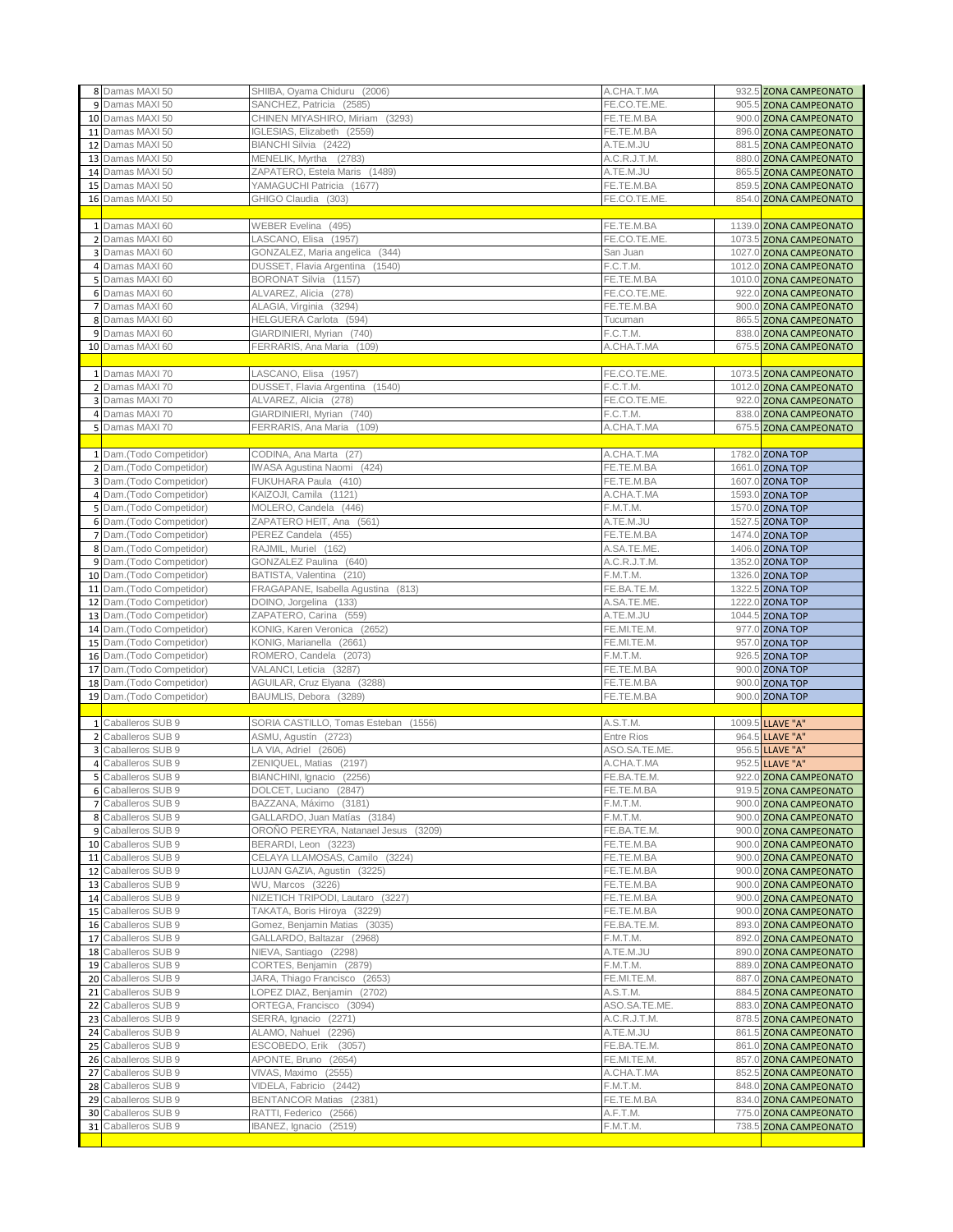|    | 8 Damas MAXI 50                                    | SHIIBA, Oyama Chiduru (2006)         | A.CHA.T.MA        | 932.5 ZONA CAMPEONATO  |
|----|----------------------------------------------------|--------------------------------------|-------------------|------------------------|
|    | 9 Damas MAXI 50                                    | SANCHEZ, Patricia (2585)             | FE.CO.TE.ME       | 905.5 ZONA CAMPEONATO  |
|    | 10 Damas MAXI 50                                   | CHINEN MIYASHIRO, Miriam (3293)      | FE.TE.M.BA        | 900.0 ZONA CAMPEONATO  |
|    | 11 Damas MAXI 50                                   | IGLESIAS, Elizabeth (2559)           | FE.TE.M.BA        | 896.0 ZONA CAMPEONATO  |
|    | 12 Damas MAXI 50                                   | BIANCHI Silvia (2422)                | A.TE.M.JU         | 881.5 ZONA CAMPEONATO  |
|    | 13 Damas MAXI 50                                   | MENELIK, Myrtha (2783)               | A.C.R.J.T.M       | 880.0 ZONA CAMPEONATO  |
|    |                                                    |                                      |                   |                        |
|    | 14 Damas MAXI 50                                   | ZAPATERO, Estela Maris (1489)        | A.TE.M.JU         | 865.5 ZONA CAMPEONATO  |
|    | 15 Damas MAXI 50                                   | YAMAGUCHI Patricia (1677)            | FE.TE.M.BA        | 859.5 ZONA CAMPEONATO  |
|    | 16 Damas MAXI 50                                   | GHIGO Claudia (303)                  | FE.CO.TE.ME       | 854.0 ZONA CAMPEONATO  |
|    |                                                    |                                      |                   |                        |
|    | 1 Damas MAXI 60                                    | WEBER Evelina (495)                  | FE.TE.M.BA        | 1139.0 ZONA CAMPEONATO |
|    | 2 Damas MAXI 60                                    | LASCANO, Elisa (1957)                | FE.CO.TE.ME.      | 1073.5 ZONA CAMPEONATO |
|    | 3 Damas MAXI 60                                    | GONZALEZ, Maria angelica (344)       | San Juan          | 1027.0 ZONA CAMPEONATO |
|    | 4 Damas MAXI 60                                    | DUSSET, Flavia Argentina (1540)      | F.C.T.M.          | 1012.0 ZONA CAMPEONATO |
|    | 5 Damas MAXI 60                                    | BORONAT Silvia (1157)                | FE.TE.M.BA        | 1010.0 ZONA CAMPEONATO |
|    | 6 Damas MAXI 60                                    | ALVAREZ, Alicia (278)                | FE.CO.TE.ME.      | 922.0 ZONA CAMPEONATO  |
|    | 7 Damas MAXI 60                                    | ALAGIA, Virginia (3294)              | FE.TE.M.BA        | 900.0 ZONA CAMPEONATO  |
|    | 8 Damas MAXI 60                                    | HELGUERA Carlota (594)               | Tucuman           | 865.5 ZONA CAMPEONATO  |
|    | 9 Damas MAXI 60                                    | GIARDINIERI, Myrian (740)            | F.C.T.M.          | 838.0 ZONA CAMPEONATO  |
|    | 10 Damas MAXI 60                                   | FERRARIS, Ana Maria (109)            | A.CHA.T.MA        | 675.5 ZONA CAMPEONATO  |
|    |                                                    |                                      |                   |                        |
|    | 1 Damas MAXI 70                                    | LASCANO, Elisa (1957)                | FE.CO.TE.ME.      | 1073.5 ZONA CAMPEONATO |
|    | 2 Damas MAXI 70                                    | DUSSET, Flavia Argentina (1540)      | F.C.T.M.          | 1012.0 ZONA CAMPEONATO |
|    | 3 Damas MAXI 70                                    | ALVAREZ, Alicia (278)                | FE.CO.TE.ME       | 922.0 ZONA CAMPEONATO  |
|    | 4 Damas MAXI 70                                    | GIARDINIERI, Myrian (740)            | F.C.T.M.          | 838.0 ZONA CAMPEONATO  |
|    | 5 Damas MAXI 70                                    | FERRARIS, Ana Maria (109)            | A.CHA.T.MA        | 675.5 ZONA CAMPEONATO  |
|    |                                                    |                                      |                   |                        |
|    | 1 Dam.(Todo Competidor)                            | CODINA, Ana Marta (27)               | A.CHA.T.MA        | 1782.0 ZONA TOP        |
|    | 2 Dam.(Todo Competidor)                            | IWASA Agustina Naomi (424)           | FE.TE.M.BA        | 1661.0 ZONA TOP        |
|    | 3 Dam.(Todo Competidor)                            | FUKUHARA Paula (410)                 | FE.TE.M.BA        | 1607.0 ZONA TOP        |
|    | 4 Dam.(Todo Competidor)                            | KAIZOJI, Camila (1121)               | A.CHA.T.MA        | 1593.0 ZONA TOP        |
|    |                                                    | MOLERO, Candela (446)                | F.M.T.M.          |                        |
|    | 5 Dam.(Todo Competidor)<br>6 Dam.(Todo Competidor) |                                      |                   | 1570.0 ZONA TOP        |
|    |                                                    | ZAPATERO HEIT, Ana (561)             | A.TE.M.JU         | 1527.5 ZONA TOP        |
|    | 7 Dam.(Todo Competidor)                            | PEREZ Candela (455)                  | FE.TE.M.BA        | 1474.0 ZONA TOP        |
|    | 8 Dam.(Todo Competidor)                            | RAJMIL, Muriel (162)                 | A.SA.TE.ME.       | 1406.0 ZONA TOP        |
|    | 9 Dam.(Todo Competidor)                            | GONZALEZ Paulina (640)               | A.C.R.J.T.M.      | 1352.0 ZONA TOP        |
| 10 | Dam.(Todo Competidor)                              | BATISTA, Valentina (210)             | F.M.T.M.          | 1326.0 ZONA TOP        |
| 11 | Dam.(Todo Competidor)                              | FRAGAPANE, Isabella Agustina (813)   | FE.BA.TE.M.       | 1322.5 ZONA TOP        |
| 12 | Dam.(Todo Competidor)                              | DOINO, Jorgelina (133)               | A.SA.TE.ME.       | 1222.0 ZONA TOP        |
| 13 | Dam.(Todo Competidor)                              | ZAPATERO, Carina (559)               | A.TE.M.JU         | 1044.5 ZONA TOP        |
| 14 | Dam.(Todo Competidor)                              | KONIG, Karen Veronica (2652)         | FE.MI.TE.M.       | 977.0 ZONA TOP         |
| 15 | Dam.(Todo Competidor)                              | KONIG, Marianella (2661)             | FE.MI.TE.M.       | 957.0 ZONA TOP         |
| 16 | Dam.(Todo Competidor)                              | ROMERO, Candela (2073)               | F.M.T.M.          | 926.5 ZONA TOP         |
| 17 | Dam.(Todo Competidor)                              | VALANCI, Leticia (3287)              | FE.TE.M.BA        | 900.0 ZONA TOP         |
| 18 | Dam.(Todo Competidor)                              | AGUILAR, Cruz Elyana (3288)          | FE.TE.M.BA        | 900.0 ZONA TOP         |
|    | 19 Dam.(Todo Competidor)                           | BAUMLIS, Debora (3289)               | FE.TE.M.BA        | 900.0 ZONA TOP         |
|    |                                                    |                                      |                   |                        |
|    | 1 Caballeros SUB 9                                 | SORIA CASTILLO, Tomas Esteban (1556) | A.S.T.M.          | 1009.5 LLAVE "A"       |
|    | 2 Caballeros SUB 9                                 | ASMU, Agustín (2723)                 | <b>Entre Rios</b> | 964.5 LLAVE "A"        |
| 3  | Caballeros SUB 9                                   | LA VIA, Adriel (2606)                | ASO.SA.TE.ME.     | 956.5 LLAVE "A"        |
|    | 4 Caballeros SUB 9                                 | ZENIQUEL, Matias (2197)              | A.CHA.T.MA        | 952.5 LLAVE "A"        |
|    | 5 Caballeros SUB 9                                 | BIANCHINI, Ignacio (2256)            | FE.BA.TE.M.       | 922.0 ZONA CAMPEONATO  |
|    | 6 Caballeros SUB 9                                 | DOLCET, Luciano (2847)               | FE.TE.M.BA        | 919.5 ZONA CAMPEONATO  |
|    | 7 Caballeros SUB 9                                 | BAZZANA, Máximo (3181)               | F.M.T.M.          | 900.0 ZONA CAMPEONATO  |
|    | 8 Caballeros SUB 9                                 | GALLARDO, Juan Matías (3184)         | F.M.T.M.          | 900.0 ZONA CAMPEONATO  |
|    | 9 Caballeros SUB 9                                 | OROÑO PEREYRA, Natanael Jesus (3209) | FE.BA.TE.M.       | 900.0 ZONA CAMPEONATO  |
|    | 10 Caballeros SUB 9                                | BERARDI, Leon (3223)                 | FE.TE.M.BA        | 900.0 ZONA CAMPEONATO  |
|    | 11 Caballeros SUB 9                                | CELAYA LLAMOSAS, Camilo (3224)       | FE.TE.M.BA        | 900.0 ZONA CAMPEONATO  |
|    | 12 Caballeros SUB 9                                | LUJAN GAZIA, Agustin (3225)          | FE.TE.M.BA        | 900.0 ZONA CAMPEONATO  |
|    | 13 Caballeros SUB 9                                | WU, Marcos (3226)                    | FE.TE.M.BA        | 900.0 ZONA CAMPEONATO  |
|    | 14 Caballeros SUB 9                                | NIZETICH TRIPODI, Lautaro (3227)     | FE.TE.M.BA        | 900.0 ZONA CAMPEONATO  |
|    | 15 Caballeros SUB 9                                | TAKATA, Boris Hiroya (3229)          | FE.TE.M.BA        | 900.0 ZONA CAMPEONATO  |
|    | 16 Caballeros SUB 9                                | Gomez, Benjamin Matias (3035)        | FE.BA.TE.M.       | 893.0 ZONA CAMPEONATO  |
|    | 17 Caballeros SUB 9                                | GALLARDO, Baltazar (2968)            | F.M.T.M.          | 892.0 ZONA CAMPEONATO  |
|    | 18 Caballeros SUB 9                                | NIEVA, Santiago (2298)               | A.TE.M.JU         | 890.0 ZONA CAMPEONATO  |
|    | 19 Caballeros SUB 9                                | CORTES, Benjamin (2879)              | F.M.T.M.          | 889.0 ZONA CAMPEONATO  |
|    | 20 Caballeros SUB 9                                | JARA, Thiago Francisco (2653)        | FE.MI.TE.M.       | 887.0 ZONA CAMPEONATO  |
|    | 21 Caballeros SUB 9                                | LOPEZ DIAZ, Benjamin (2702)          | A.S.T.M.          | 884.5 ZONA CAMPEONATO  |
|    | 22 Caballeros SUB 9                                | ORTEGA, Francisco (3094)             | ASO.SA.TE.ME.     | 883.0 ZONA CAMPEONATO  |
|    |                                                    |                                      |                   |                        |
|    | 23 Caballeros SUB 9                                | SERRA, Ignacio (2271)                | A.C.R.J.T.M.      | 878.5 ZONA CAMPEONATO  |
|    | 24 Caballeros SUB 9                                | ALAMO, Nahuel (2296)                 | A.TE.M.JU         | 861.5 ZONA CAMPEONATO  |
|    | 25 Caballeros SUB 9                                | ESCOBEDO, Erik (3057)                | FE.BA.TE.M.       | 861.0 ZONA CAMPEONATO  |
|    | 26 Caballeros SUB 9                                | APONTE, Bruno (2654)                 | FE.MI.TE.M.       | 857.0 ZONA CAMPEONATO  |
|    | 27 Caballeros SUB 9                                | VIVAS, Maximo (2555)                 | A.CHA.T.MA        | 852.5 ZONA CAMPEONATO  |
|    | 28 Caballeros SUB 9                                | VIDELA, Fabricio (2442)              | F.M.T.M.          | 848.0 ZONA CAMPEONATO  |
|    | 29 Caballeros SUB 9                                | BENTANCOR Matias (2381)              | FE.TE.M.BA        | 834.0 ZONA CAMPEONATO  |
|    | 30 Caballeros SUB 9                                | RATTI, Federico (2566)               | A.F.T.M.          | 775.0 ZONA CAMPEONATO  |
|    |                                                    |                                      |                   |                        |
|    | 31 Caballeros SUB 9                                | IBANEZ, Ignacio (2519)               | F.M.T.M.          | 738.5 ZONA CAMPEONATO  |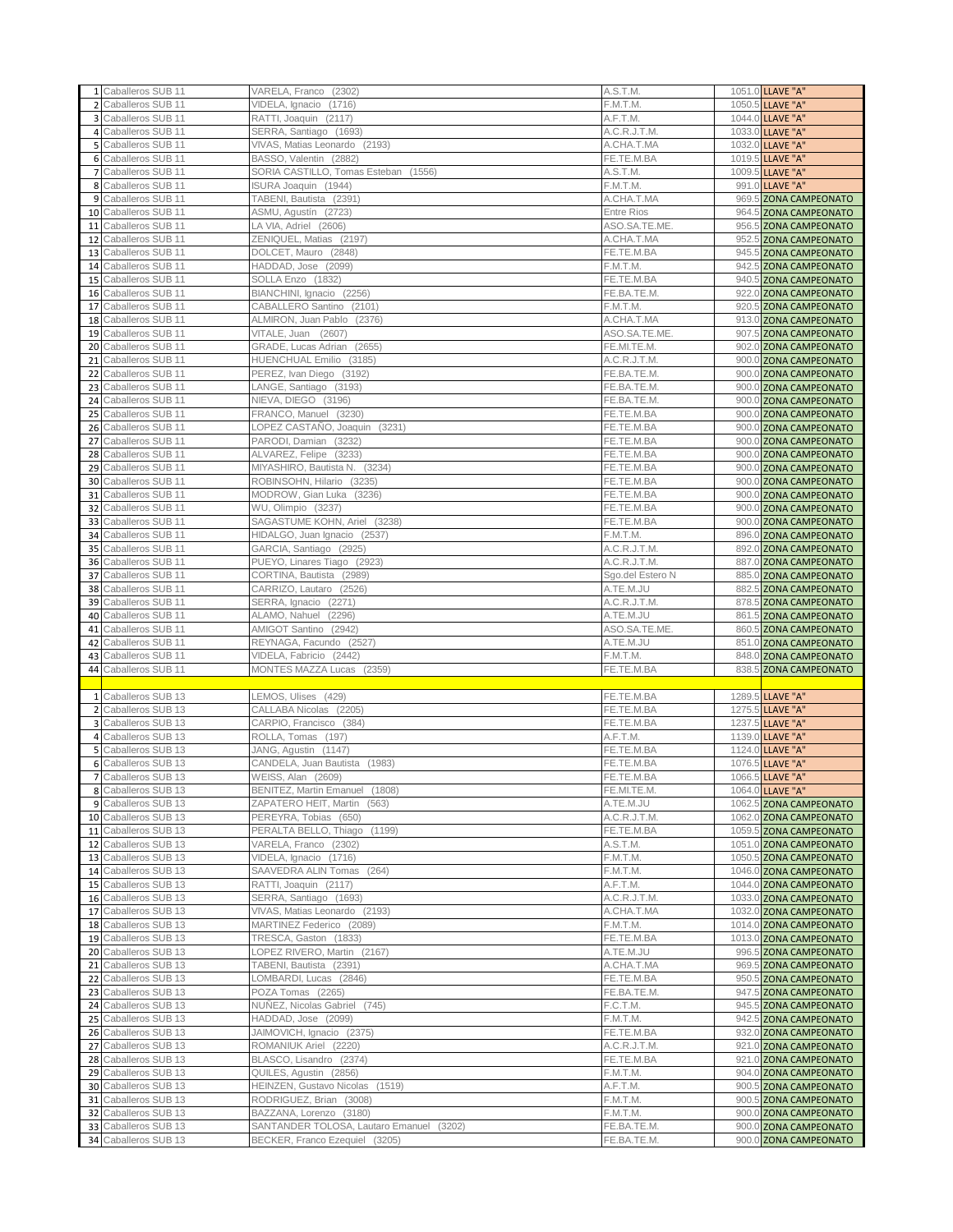|    | 1 Caballeros SUB 11                          | VARELA, Franco (2302)                                     | A.S.T.M.                   | 1051.0 LLAVE "A"                                 |
|----|----------------------------------------------|-----------------------------------------------------------|----------------------------|--------------------------------------------------|
|    | 2 Caballeros SUB 11                          | VIDELA, Ignacio (1716)                                    | F.M.T.M.                   | 1050.5 LLAVE "A"                                 |
|    | 3 Caballeros SUB 11                          | RATTI, Joaquin (2117)                                     | A.F.T.M.                   | 1044.0 LLAVE "A"                                 |
|    | 4 Caballeros SUB 11                          | SERRA, Santiago (1693)                                    | A.C.R.J.T.M.               | 1033.0 LLAVE "A"                                 |
|    | 5 Caballeros SUB 11                          | VIVAS, Matias Leonardo (2193)                             | A.CHA.T.MA                 | 1032.0 LLAVE "A"                                 |
|    | 6 Caballeros SUB 11                          | BASSO, Valentin (2882)                                    | FE.TE.M.BA                 | 1019.5 LLAVE "A"                                 |
|    | 7 Caballeros SUB 11                          | SORIA CASTILLO, Tomas Esteban (1556)                      | A.S.T.M.                   | 1009.5 LLAVE "A"                                 |
|    | 8 Caballeros SUB 11                          | <b>ISURA Joaquin (1944)</b>                               | F.M.T.M.                   | 991.0 LLAVE "A"                                  |
|    | 9 Caballeros SUB 11                          | TABENI, Bautista (2391)                                   | A.CHA.T.MA                 | 969.5 ZONA CAMPEONATO                            |
|    | 10 Caballeros SUB 11                         | ASMU, Agustín (2723)                                      | <b>Entre Rios</b>          | 964.5 ZONA CAMPEONATO                            |
|    | 11 Caballeros SUB 11                         | LA VIA, Adriel (2606)                                     | ASO.SA.TE.ME<br>A.CHA.T.MA | 956.5 ZONA CAMPEONATO                            |
|    | 12 Caballeros SUB 11<br>13 Caballeros SUB 11 | ZENIQUEL, Matias (2197)<br>DOLCET, Mauro (2848)           | FE.TE.M.BA                 | 952.5 ZONA CAMPEONATO                            |
|    | 14 Caballeros SUB 11                         | HADDAD, Jose (2099)                                       | F.M.T.M.                   | 945.5 ZONA CAMPEONATO<br>942.5 ZONA CAMPEONATO   |
|    | 15 Caballeros SUB 11                         | SOLLA Enzo (1832)                                         | FE.TE.M.BA                 | 940.5 ZONA CAMPEONATO                            |
|    | 16 Caballeros SUB 11                         | BIANCHINI, Ignacio (2256)                                 | FE.BA.TE.M.                | 922.0 ZONA CAMPEONATO                            |
|    | 17 Caballeros SUB 11                         | CABALLERO Santino (2101)                                  | F.M.T.M.                   | 920.5 ZONA CAMPEONATO                            |
|    | 18 Caballeros SUB 11                         | ALMIRON, Juan Pablo (2376)                                | A.CHA.T.MA                 | 913.0 ZONA CAMPEONATO                            |
|    | 19 Caballeros SUB 11                         | VITALE, Juan (2607)                                       | ASO.SA.TE.ME.              | 907.5 ZONA CAMPEONATO                            |
|    | 20 Caballeros SUB 11                         | GRADE, Lucas Adrian (2655)                                | FE.MI.TE.M.                | 902.0 ZONA CAMPEONATO                            |
|    | 21 Caballeros SUB 11                         | HUENCHUAL Emilio (3185)                                   | A.C.R.J.T.M.               | 900.0 ZONA CAMPEONATO                            |
|    | 22 Caballeros SUB 11                         | PEREZ, Ivan Diego (3192)                                  | FE.BA.TE.M.                | 900.0 ZONA CAMPEONATO                            |
|    | 23 Caballeros SUB 11                         | LANGE, Santiago (3193)                                    | FE.BA.TE.M.                | 900.0 ZONA CAMPEONATO                            |
|    | 24 Caballeros SUB 11                         | NIEVA, DIEGO (3196)                                       | FE.BA.TE.M.                | 900.0 ZONA CAMPEONATO                            |
|    | 25 Caballeros SUB 11                         | FRANCO, Manuel (3230)                                     | FE.TE.M.BA                 | 900.0 ZONA CAMPEONATO                            |
|    | 26 Caballeros SUB 11                         | OPEZ CASTAÑO, Joaquin (3231)                              | FE.TE.M.BA                 | 900.0 ZONA CAMPEONATO                            |
|    | 27 Caballeros SUB 11                         | PARODI, Damian (3232)                                     | FE.TE.M.BA                 | 900.0 ZONA CAMPEONATO                            |
| 28 | Caballeros SUB 11                            | ALVAREZ, Felipe (3233)                                    | FE.TE.M.BA                 | 900.0 ZONA CAMPEONATO                            |
|    | 29 Caballeros SUB 11                         | MIYASHIRO, Bautista N. (3234)                             | FE.TE.M.BA                 | 900.0 ZONA CAMPEONATO                            |
|    | 30 Caballeros SUB 11                         | ROBINSOHN, Hilario (3235)                                 | FE.TE.M.BA                 | 900.0 ZONA CAMPEONATO                            |
|    | 31 Caballeros SUB 11                         | MODROW, Gian Luka (3236)                                  | FE.TE.M.BA                 | 900.0 ZONA CAMPEONATO                            |
|    | 32 Caballeros SUB 11                         | WU, Olimpio (3237)                                        | FE.TE.M.BA                 | 900.0 ZONA CAMPEONATO                            |
|    | 33 Caballeros SUB 11<br>34 Caballeros SUB 11 | SAGASTUME KOHN, Ariel (3238)                              | FE.TE.M.BA                 | 900.0 ZONA CAMPEONATO                            |
|    | Caballeros SUB 11                            | HIDALGO, Juan Ignacio (2537)<br>GARCIA, Santiago (2925)   | F.M.T.M.<br>A.C.R.J.T.M.   | 896.0 ZONA CAMPEONATO<br>892.0 ZONA CAMPEONATO   |
| 35 | 36 Caballeros SUB 11                         | PUEYO, Linares Tiago (2923)                               | A.C.R.J.T.M.               | 887.0 ZONA CAMPEONATO                            |
|    | 37 Caballeros SUB 11                         | CORTINA, Bautista (2989)                                  | Sgo.del Estero N           | 885.0 ZONA CAMPEONATO                            |
|    | 38 Caballeros SUB 11                         | CARRIZO, Lautaro (2526)                                   | A.TE.M.JU                  | 882.5 ZONA CAMPEONATO                            |
|    | 39 Caballeros SUB 11                         | SERRA, Ignacio (2271)                                     | A.C.R.J.T.M.               | 878.5 ZONA CAMPEONATO                            |
|    |                                              |                                                           |                            |                                                  |
|    |                                              |                                                           |                            |                                                  |
| 41 | 40 Caballeros SUB 11<br>Caballeros SUB 11    | ALAMO, Nahuel (2296)<br>AMIGOT Santino (2942)             | A.TE.M.JU<br>ASO.SA.TE.ME. | 861.5 ZONA CAMPEONATO                            |
|    | 42 Caballeros SUB 11                         | REYNAGA, Facundo (2527)                                   | A.TE.M.JU                  | 860.5 ZONA CAMPEONATO<br>851.0 ZONA CAMPEONATO   |
|    | 43 Caballeros SUB 11                         | VIDELA, Fabricio (2442)                                   | F.M.T.M.                   | 848.0 ZONA CAMPEONATO                            |
|    | 44 Caballeros SUB 11                         | MONTES MAZZA Lucas (2359)                                 | FE.TE.M.BA                 | 838.5 ZONA CAMPEONATO                            |
|    |                                              |                                                           |                            |                                                  |
|    | 1 Caballeros SUB 13                          | LEMOS, Ulises (429)                                       | FE.TE.M.BA                 | 1289.5 LLAVE "A"                                 |
|    | 2 Caballeros SUB 13                          | CALLABA Nicolas (2205)                                    | FE.TE.M.BA                 | 1275.5 LLAVE "A"                                 |
|    | 3 Caballeros SUB 13                          | CARPIO, Francisco (384)                                   | FE.TE.M.BA                 | 1237.5 LLAVE "A"                                 |
|    | 4 Caballeros SUB 13                          | ROLLA, Tomas (197)                                        | A.F.T.M.                   | 1139.0 LLAVE "A"                                 |
|    | 5 Caballeros SUB 13                          | JANG, Agustin (1147)                                      | FE.TE.M.BA                 | 1124.0 LLAVE "A"                                 |
|    | 6 Caballeros SUB 13                          | CANDELA, Juan Bautista (1983)                             | FE.TE.M.BA                 | 1076.5 LLAVE "A"                                 |
|    | 7 Caballeros SUB 13                          | WEISS, Alan (2609)                                        | FE.TE.M.BA                 | 1066.5 LLAVE "A"                                 |
|    | 8 Caballeros SUB 13                          | BENITEZ, Martin Emanuel (1808)                            | FE.MI.TE.M.                | 1064.0 LLAVE "A"                                 |
|    | 9 Caballeros SUB 13                          | ZAPATERO HEIT, Martin (563)                               | A.TE.M.JU                  | 1062.5 ZONA CAMPEONATO                           |
|    | 10 Caballeros SUB 13<br>11 Caballeros SUB 13 | PEREYRA, Tobias (650)<br>PERALTA BELLO, Thiago (1199)     | A.C.R.J.T.M.<br>FE.TE.M.BA | 1062.0 ZONA CAMPEONATO                           |
|    | 12 Caballeros SUB 13                         | VARELA, Franco (2302)                                     | A.S.T.M.                   | 1059.5 ZONA CAMPEONATO<br>1051.0 ZONA CAMPEONATO |
|    | 13 Caballeros SUB 13                         | VIDELA, Ignacio (1716)                                    | F.M.T.M.                   | 1050.5 ZONA CAMPEONATO                           |
|    | 14 Caballeros SUB 13                         | SAAVEDRA ALIN Tomas (264)                                 | F.M.T.M.                   | 1046.0 ZONA CAMPEONATO                           |
|    | 15 Caballeros SUB 13                         | RATTI, Joaquin (2117)                                     | A.F.T.M.                   | 1044.0 ZONA CAMPEONATO                           |
|    | 16 Caballeros SUB 13                         | SERRA, Santiago (1693)                                    | A.C.R.J.T.M.               | 1033.0 ZONA CAMPEONATO                           |
|    | 17 Caballeros SUB 13                         | VIVAS, Matias Leonardo (2193)                             | A.CHA.T.MA                 | 1032.0 ZONA CAMPEONATO                           |
|    | 18 Caballeros SUB 13                         | MARTINEZ Federico (2089)                                  | F.M.T.M.                   | 1014.0 ZONA CAMPEONATO                           |
|    | 19 Caballeros SUB 13                         | TRESCA, Gaston (1833)                                     | FE.TE.M.BA                 | 1013.0 ZONA CAMPEONATO                           |
|    | 20 Caballeros SUB 13                         | LOPEZ RIVERO, Martin (2167)                               | A.TE.M.JU                  | 996.5 ZONA CAMPEONATO                            |
|    | 21 Caballeros SUB 13                         | TABENI, Bautista (2391)                                   | A.CHA.T.MA                 | 969.5 ZONA CAMPEONATO                            |
|    | 22 Caballeros SUB 13                         | _OMBARDI, Lucas (2846)                                    | FE.TE.M.BA                 | 950.5 ZONA CAMPEONATO                            |
|    | 23 Caballeros SUB 13                         | POZA Tomas (2265)                                         | FE.BA.TE.M.                | 947.5 ZONA CAMPEONATO                            |
|    | 24 Caballeros SUB 13                         | NUÑEZ, Nicolas Gabriel (745)                              | F.C.T.M.                   | 945.5 ZONA CAMPEONATO                            |
|    | 25 Caballeros SUB 13                         | HADDAD, Jose (2099)                                       | F.M.T.M.                   | 942.5 ZONA CAMPEONATO                            |
|    | 26 Caballeros SUB 13                         | JAIMOVICH, Ignacio (2375)                                 | FE.TE.M.BA                 | 932.0 ZONA CAMPEONATO                            |
|    | 27 Caballeros SUB 13                         | ROMANIUK Ariel (2220)                                     | A.C.R.J.T.M.               | 921.0 ZONA CAMPEONATO                            |
|    | 28 Caballeros SUB 13                         | BLASCO, Lisandro (2374)                                   | FE.TE.M.BA                 | 921.0 ZONA CAMPEONATO                            |
|    | 29 Caballeros SUB 13<br>30 Caballeros SUB 13 | QUILES, Agustin (2856)<br>HEINZEN, Gustavo Nicolas (1519) | F.M.T.M.<br>A.F.T.M.       | 904.0 ZONA CAMPEONATO                            |
|    | 31 Caballeros SUB 13                         | RODRIGUEZ, Brian (3008)                                   | F.M.T.M.                   | 900.5 ZONA CAMPEONATO<br>900.5 ZONA CAMPEONATO   |
|    | 32 Caballeros SUB 13                         | BAZZANA, Lorenzo (3180)                                   | F.M.T.M.                   | 900.0 ZONA CAMPEONATO                            |
|    | 33 Caballeros SUB 13                         | SANTANDER TOLOSA, Lautaro Emanuel (3202)                  | FE.BA.TE.M.                | 900.0 ZONA CAMPEONATO                            |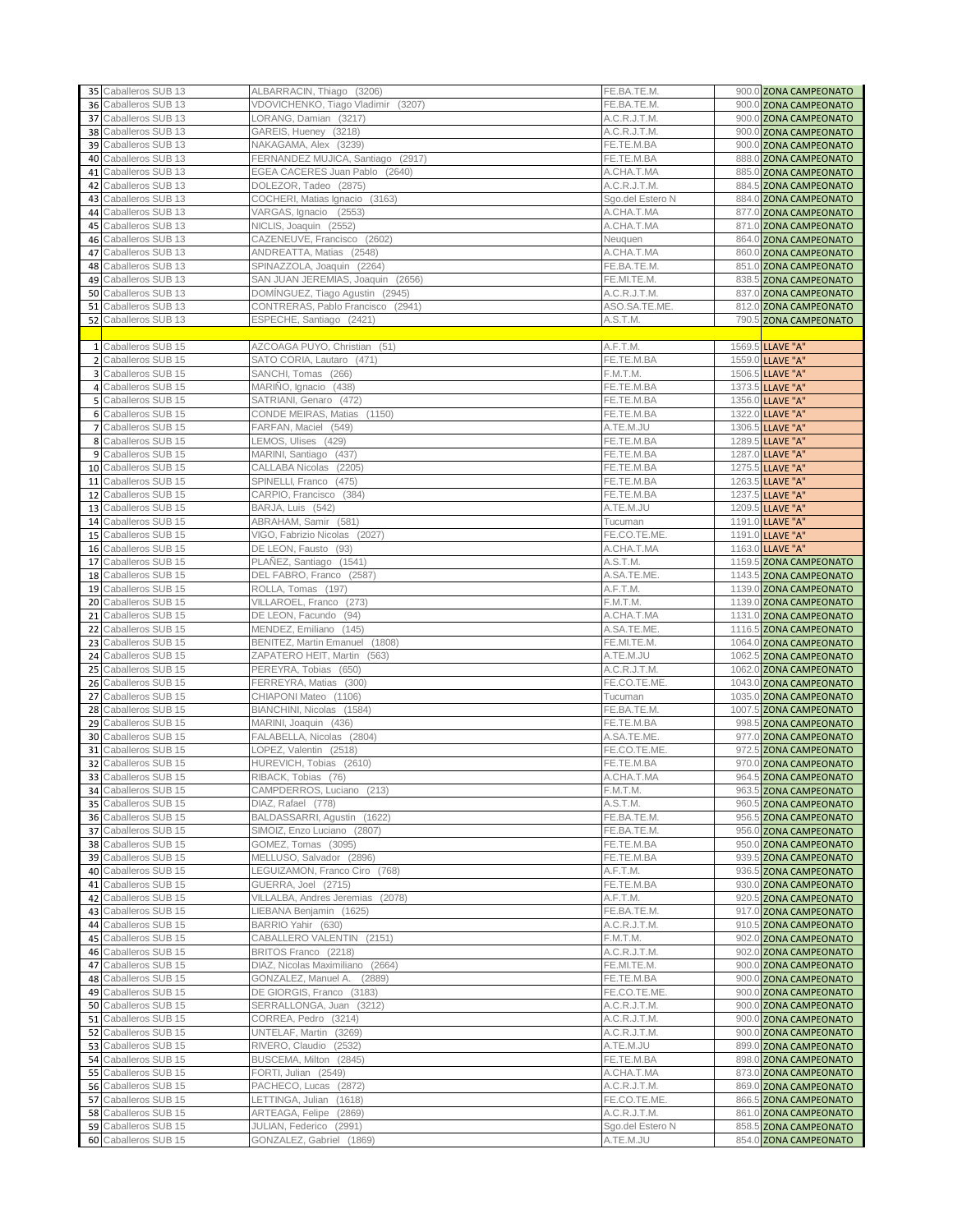|                 | 35 Caballeros SUB 13 | ALBARRACIN, Thiago (3206)          | FE.BA.TE.M.      | 900.0 ZONA CAMPEONATO  |
|-----------------|----------------------|------------------------------------|------------------|------------------------|
|                 | 36 Caballeros SUB 13 | VDOVICHENKO, Tiago Vladimir (3207) | FE.BA.TE.M.      | 900.0 ZONA CAMPEONATO  |
|                 | 37 Caballeros SUB 13 | LORANG, Damian (3217)              | A.C.R.J.T.M.     | 900.0 ZONA CAMPEONATO  |
|                 | 38 Caballeros SUB 13 | GAREIS, Hueney (3218)              | A.C.R.J.T.M.     | 900.0 ZONA CAMPEONATO  |
|                 | 39 Caballeros SUB 13 | NAKAGAMA, Alex (3239)              | FE.TE.M.BA       | 900.0 ZONA CAMPEONATO  |
|                 |                      |                                    |                  | 888.0 ZONA CAMPEONATO  |
|                 | 40 Caballeros SUB 13 | FERNANDEZ MUJICA, Santiago (2917)  | FE.TE.M.BA       |                        |
| 41              | Caballeros SUB 13    | EGEA CACERES Juan Pablo (2640)     | A.CHA.T.MA       | 885.0 ZONA CAMPEONATO  |
| 42              | Caballeros SUB 13    | DOLEZOR, Tadeo (2875)              | A.C.R.J.T.M.     | 884.5 ZONA CAMPEONATO  |
| 43 <sub>1</sub> | Caballeros SUB 13    | COCHERI, Matias Ignacio (3163)     | Sgo.del Estero N | 884.0 ZONA CAMPEONATO  |
|                 | 44 Caballeros SUB 13 | VARGAS, Ignacio (2553)             | A.CHA.T.MA       | 877.0 ZONA CAMPEONATO  |
|                 | 45 Caballeros SUB 13 | NICLIS, Joaquin (2552)             | A.CHA.T.MA       | 871.0 ZONA CAMPEONATO  |
| 46              | Caballeros SUB 13    | CAZENEUVE, Francisco (2602)        | Neuguen          | 864.0 ZONA CAMPEONATO  |
| 47              | Caballeros SUB 13    | ANDREATTA, Matias (2548)           | A.CHA.T.MA       | 860.0 ZONA CAMPEONATO  |
| 48              | Caballeros SUB 13    | SPINAZZOLA, Joaquin (2264)         | FE.BA.TE.M.      | 851.0 ZONA CAMPEONATO  |
|                 | 49 Caballeros SUB 13 | SAN JUAN JEREMIAS, Joaquin (2656)  | FE.MI.TE.M.      | 838.5 ZONA CAMPEONATO  |
|                 | 50 Caballeros SUB 13 | DOMİNGUEZ, Tiago Agustin (2945)    | A.C.R.J.T.M.     | 837.0 ZONA CAMPEONATO  |
|                 | 51 Caballeros SUB 13 | CONTRERAS, Pablo Francisco (2941)  | ASO.SA.TE.ME     | 812.0 ZONA CAMPEONATO  |
|                 | 52 Caballeros SUB 13 | ESPECHE, Santiago (2421)           | A.S.T.M.         | 790.5 ZONA CAMPEONATO  |
|                 |                      |                                    |                  |                        |
|                 | 1 Caballeros SUB 15  | AZCOAGA PUYO, Christian (51)       | A.F.T.M.         | 1569.5 LLAVE "A"       |
| $\overline{2}$  | Caballeros SUB 15    | SATO CORIA, Lautaro (471)          | FE.TE.M.BA       | 1559.0 LLAVE "A"       |
|                 | 3 Caballeros SUB 15  | SANCHI, Tomas (266)                | F.M.T.M.         | 1506.5 LLAVE "A"       |
|                 | 4 Caballeros SUB 15  | MARIÑO, Ignacio (438)              | FE.TE.M.BA       | 1373.5 LLAVE "A"       |
|                 | 5 Caballeros SUB 15  | SATRIANI, Genaro (472)             | FE.TE.M.BA       | 1356.0 LLAVE "A"       |
|                 | 6 Caballeros SUB 15  | CONDE MEIRAS, Matias (1150)        | FE.TE.M.BA       | 1322.0 LLAVE "A"       |
|                 | 7 Caballeros SUB 15  | FARFAN, Maciel (549)               | A.TE.M.JU        | 1306.5 LLAVE "A"       |
|                 | 8 Caballeros SUB 15  | LEMOS, Ulises (429)                | FE.TE.M.BA       | 1289.5 LLAVE "A"       |
|                 | 9 Caballeros SUB 15  | MARINI, Santiago (437)             | FE.TE.M.BA       | 1287.0 LLAVE "A"       |
|                 | 10 Caballeros SUB 15 | CALLABA Nicolas (2205)             | FE.TE.M.BA       | 1275.5 LLAVE "A"       |
|                 | 11 Caballeros SUB 15 | SPINELLI, Franco (475)             | FE.TE.M.BA       | 1263.5 LLAVE "A"       |
|                 | 12 Caballeros SUB 15 | CARPIO, Francisco (384)            | FE.TE.M.BA       | 1237.5 LLAVE "A"       |
|                 | 13 Caballeros SUB 15 | BARJA, Luis (542)                  | A.TE.M.JU        | 1209.5 LLAVE "A"       |
|                 | 14 Caballeros SUB 15 | ABRAHAM, Samir (581)               | Tucuman          | 1191.0 LLAVE "A"       |
|                 | 15 Caballeros SUB 15 | VIGO, Fabrizio Nicolas (2027)      | FE.CO.TE.ME      |                        |
|                 |                      |                                    |                  | 1191.0 LLAVE "A"       |
|                 | 16 Caballeros SUB 15 | DE LEON, Fausto (93)               | A.CHA.T.MA       | 1163.0 LLAVE "A"       |
|                 | 17 Caballeros SUB 15 | PLAÑEZ, Santiago (1541)            | A.S.T.M.         | 1159.5 ZONA CAMPEONATO |
|                 | 18 Caballeros SUB 15 | DEL FABRO, Franco (2587)           | A.SA.TE.ME.      | 1143.5 ZONA CAMPEONATO |
|                 | 19 Caballeros SUB 15 | ROLLA, Tomas (197)                 | A.F.T.M.         | 1139.0 ZONA CAMPEONATO |
|                 | 20 Caballeros SUB 15 | VILLAROEL, Franco (273)            | F.M.T.M.         | 1139.0 ZONA CAMPEONATO |
| 21              | Caballeros SUB 15    | DE LEON, Facundo (94)              | A.CHA.T.MA       | 1131.0 ZONA CAMPEONATO |
|                 | 22 Caballeros SUB 15 | MENDEZ, Emiliano (145)             | A.SA.TE.ME.      | 1116.5 ZONA CAMPEONATO |
|                 | 23 Caballeros SUB 15 | BENITEZ, Martin Emanuel (1808)     | FE.MI.TE.M.      | 1064.0 ZONA CAMPEONATO |
|                 | 24 Caballeros SUB 15 | ZAPATERO HEIT, Martin (563)        | A.TE.M.JU        | 1062.5 ZONA CAMPEONATO |
|                 | 25 Caballeros SUB 15 | PEREYRA, Tobias (650)              | A.C.R.J.T.M.     | 1062.0 ZONA CAMPEONATO |
|                 | 26 Caballeros SUB 15 | FERREYRA, Matias (300)             | FE.CO.TE.ME.     | 1043.0 ZONA CAMPEONATO |
| 27              | Caballeros SUB 15    | CHIAPONI Mateo (1106)              | Tucuman          | 1035.0 ZONA CAMPEONATO |
|                 | 28 Caballeros SUB 15 | BIANCHINI, Nicolas (1584)          | FE.BA.TE.M.      | 1007.5 ZONA CAMPEONATO |
|                 | 29 Caballeros SUB 15 | MARINI, Joaquin (436)              | FE.TE.M.BA       | 998.5 ZONA CAMPEONATO  |
|                 | 30 Caballeros SUB 15 | FALABELLA, Nicolas (2804)          | A.SA.TE.ME.      | 977.0 ZONA CAMPEONATO  |
| 31              | Caballeros SUB 15    | LOPEZ, Valentin (2518)             | FE.CO.TE.ME.     | 972.5 ZONA CAMPEONATO  |
|                 | 32 Caballeros SUB 15 | HUREVICH, Tobias (2610)            | FE.TE.M.BA       | 970.0 ZONA CAMPEONATO  |
|                 | 33 Caballeros SUB 15 | RIBACK, Tobias (76)                | A.CHA.T.MA       | 964.5 ZONA CAMPEONATO  |
|                 | 34 Caballeros SUB 15 | CAMPDERROS, Luciano (213)          | F.M.T.M.         | 963.5 ZONA CAMPEONATO  |
|                 | 35 Caballeros SUB 15 | DIAZ, Rafael (778)                 | A.S.T.M.         | 960.5 ZONA CAMPEONATO  |
|                 | 36 Caballeros SUB 15 | BALDASSARRI, Agustin (1622)        | FE.BA.TE.M.      | 956.5 ZONA CAMPEONATO  |
|                 | 37 Caballeros SUB 15 | SIMOIZ, Enzo Luciano (2807)        | FE.BA.TE.M.      | 956.0 ZONA CAMPEONATO  |
|                 | 38 Caballeros SUB 15 | GOMEZ, Tomas (3095)                | FE.TE.M.BA       | 950.0 ZONA CAMPEONATO  |
|                 | 39 Caballeros SUB 15 | MELLUSO, Salvador (2896)           | FE.TE.M.BA       | 939.5 ZONA CAMPEONATO  |
|                 | 40 Caballeros SUB 15 | LEGUIZAMON, Franco Ciro (768)      | A.F.T.M.         | 936.5 ZONA CAMPEONATO  |
|                 | 41 Caballeros SUB 15 | GUERRA, Joel (2715)                | FE.TE.M.BA       | 930.0 ZONA CAMPEONATO  |
| 42              | Caballeros SUB 15    | VILLALBA, Andres Jeremias (2078)   | A.F.T.M.         | 920.5 ZONA CAMPEONATO  |
| 43              | Caballeros SUB 15    | LIEBANA Benjamin (1625)            | FE.BA.TE.M.      | 917.0 ZONA CAMPEONATO  |
| 44              | Caballeros SUB 15    | BARRIO Yahir (630)                 | A.C.R.J.T.M.     | 910.5 ZONA CAMPEONATO  |
|                 | 45 Caballeros SUB 15 | CABALLERO VALENTIN (2151)          | F.M.T.M.         | 902.0 ZONA CAMPEONATO  |
|                 | 46 Caballeros SUB 15 | BRITOS Franco (2218)               | A.C.R.J.T.M.     | 902.0 ZONA CAMPEONATO  |
| 47              | Caballeros SUB 15    | DIAZ, Nicolas Maximiliano (2664)   | FE.MI.TE.M.      | 900.0 ZONA CAMPEONATO  |
|                 | 48 Caballeros SUB 15 | GONZALEZ, Manuel A. (2889)         | FE.TE.M.BA       | 900.0 ZONA CAMPEONATO  |
|                 | 49 Caballeros SUB 15 | DE GIORGIS, Franco (3183)          | FE.CO.TE.ME.     | 900.0 ZONA CAMPEONATO  |
|                 | 50 Caballeros SUB 15 | SERRALLONGA, Juan (3212)           | A.C.R.J.T.M.     | 900.0 ZONA CAMPEONATO  |
|                 | 51 Caballeros SUB 15 | CORREA, Pedro (3214)               | A.C.R.J.T.M.     | 900.0 ZONA CAMPEONATO  |
|                 | 52 Caballeros SUB 15 | UNTELAF, Martin (3269)             | A.C.R.J.T.M.     | 900.0 ZONA CAMPEONATO  |
|                 | 53 Caballeros SUB 15 | RIVERO, Claudio (2532)             | A.TE.M.JU        | 899.0 ZONA CAMPEONATO  |
|                 | 54 Caballeros SUB 15 | BUSCEMA, Milton (2845)             | FE.TE.M.BA       | 898.0 ZONA CAMPEONATO  |
|                 | 55 Caballeros SUB 15 | FORTI, Julian (2549)               | A.CHA.T.MA       | 873.0 ZONA CAMPEONATO  |
|                 | 56 Caballeros SUB 15 | PACHECO, Lucas (2872)              | A.C.R.J.T.M.     | 869.0 ZONA CAMPEONATO  |
|                 | 57 Caballeros SUB 15 | LETTINGA, Julian (1618)            | FE.CO.TE.ME.     | 866.5 ZONA CAMPEONATO  |
|                 | 58 Caballeros SUB 15 | ARTEAGA, Felipe (2869)             | A.C.R.J.T.M.     |                        |
|                 | 59 Caballeros SUB 15 | JULIAN, Federico (2991)            | Sgo.del Estero N | 861.0 ZONA CAMPEONATO  |
|                 |                      |                                    |                  | 858.5 ZONA CAMPEONATO  |
|                 | 60 Caballeros SUB 15 | GONZALEZ, Gabriel (1869)           | A.TE.M.JU        | 854.0 ZONA CAMPEONATO  |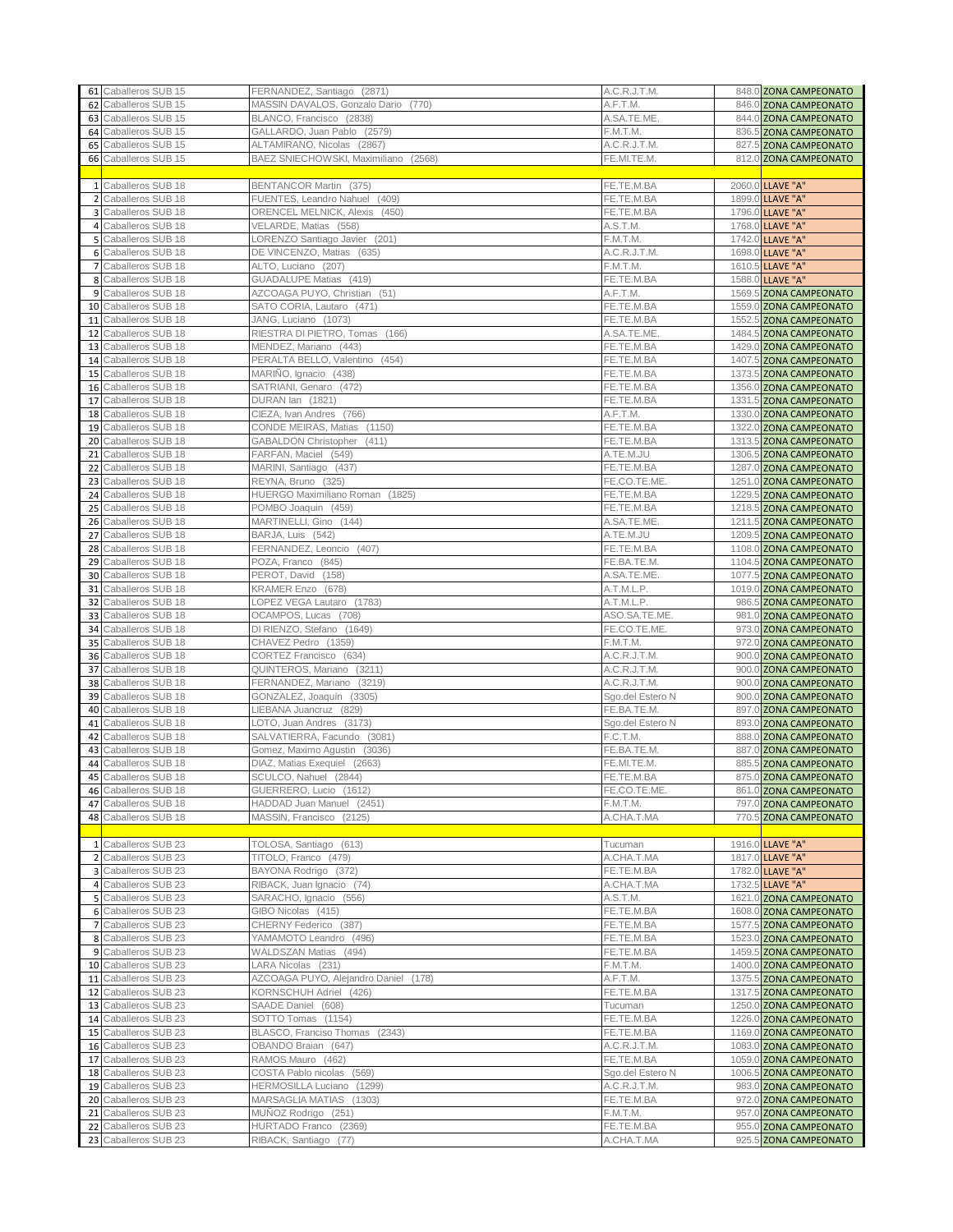|    | 61 Caballeros SUB 15                         | FERNANDEZ, Santiago (2871)                             | A.C.R.J.T.M.                 | 848.0 ZONA CAMPEONATO                            |
|----|----------------------------------------------|--------------------------------------------------------|------------------------------|--------------------------------------------------|
|    | 62 Caballeros SUB 15                         | MASSIN DAVALOS, Gonzalo Dario (770)                    | A.F.T.M.                     | 846.0 ZONA CAMPEONATO                            |
|    | 63 Caballeros SUB 15                         | BLANCO, Francisco (2838)                               | A.SA.TE.ME.                  | 844.0 ZONA CAMPEONATO                            |
|    | 64 Caballeros SUB 15                         | GALLARDO, Juan Pablo (2579)                            | F.M.T.M.                     | 836.5 ZONA CAMPEONATO                            |
|    | 65 Caballeros SUB 15                         | ALTAMIRANO, Nicolas (2867)                             | A.C.R.J.T.M.                 | 827.5 ZONA CAMPEONATO                            |
|    | 66 Caballeros SUB 15                         | BAEZ SNIECHOWSKI, Maximiliano (2568)                   | FE.MI.TE.M.                  | 812.0 ZONA CAMPEONATO                            |
|    |                                              |                                                        |                              |                                                  |
|    | 1 Caballeros SUB 18                          | BENTANCOR Martin (375)                                 | FE.TE.M.BA                   | 2060.0 LLAVE "A"                                 |
|    | 2 Caballeros SUB 18                          | FUENTES, Leandro Nahuel (409)                          | FE.TE.M.BA                   | 1899.0 LLAVE "A"                                 |
|    | 3 Caballeros SUB 18<br>4 Caballeros SUB 18   | ORENCEL MELNICK, Alexis (450)<br>VELARDE, Matias (558) | FE.TE.M.BA<br>A.S.T.M.       | 1796.0 LLAVE "A"<br>1768.0 LLAVE "A"             |
|    | 5 Caballeros SUB 18                          | LORENZO Santiago Javier (201)                          | F.M.T.M.                     | 1742.0 LLAVE "A"                                 |
|    | 6 Caballeros SUB 18                          | DE VINCENZO, Matias (635)                              | A.C.R.J.T.M.                 | 1698.0 LLAVE "A"                                 |
|    | 7 Caballeros SUB 18                          | ALTO, Luciano (207)                                    | F.M.T.M.                     | 1610.5 LLAVE "A"                                 |
|    | 8 Caballeros SUB 18                          | GUADALUPE Matias (419)                                 | FE.TE.M.BA                   | 1588.0 LLAVE "A"                                 |
|    | 9 Caballeros SUB 18                          | AZCOAGA PUYO, Christian (51)                           | A.F.T.M.                     | 1569.5 ZONA CAMPEONATO                           |
|    | 10 Caballeros SUB 18                         | SATO CORIA, Lautaro (471)                              | FE.TE.M.BA                   | 1559.0 ZONA CAMPEONATO                           |
|    | 11 Caballeros SUB 18                         | JANG, Luciano (1073)                                   | FE.TE.M.BA                   | 1552.5 ZONA CAMPEONATO                           |
|    | 12 Caballeros SUB 18                         | RIESTRA DI PIETRO, Tomas (166)                         | A.SA.TE.ME                   | 1484.5 ZONA CAMPEONATO                           |
|    | 13 Caballeros SUB 18                         | MENDEZ, Mariano (443)                                  | FE.TE.M.BA                   | 1429.0 ZONA CAMPEONATO                           |
|    | 14 Caballeros SUB 18                         | PERALTA BELLO, Valentino (454)                         | FE.TE.M.BA                   | 1407.5 ZONA CAMPEONATO                           |
|    | 15 Caballeros SUB 18                         | MARIÑO, Ignacio (438)                                  | FE.TE.M.BA                   | 1373.5 ZONA CAMPEONATO                           |
|    | 16 Caballeros SUB 18                         | SATRIANI, Genaro (472)                                 | FE.TE.M.BA                   | 1356.0 ZONA CAMPEONATO                           |
|    | 17 Caballeros SUB 18                         | DURAN lan (1821)                                       | FE.TE.M.BA                   | 1331.5 ZONA CAMPEONATO                           |
|    | 18 Caballeros SUB 18                         | CIEZA, Ivan Andres (766)                               | A.F.T.M.                     | 1330.0 ZONA CAMPEONATO                           |
|    | 19 Caballeros SUB 18                         | CONDE MEIRAS, Matias (1150)                            | FE.TE.M.BA                   | 1322.0 ZONA CAMPEONATO                           |
|    | 20 Caballeros SUB 18                         | GABALDON Christopher (411)                             | FE.TE.M.BA                   | 1313.5 ZONA CAMPEONATO                           |
| 21 | Caballeros SUB 18                            | FARFAN, Maciel (549)                                   | A.TE.M.JU                    | 1306.5 ZONA CAMPEONATO                           |
|    | 22 Caballeros SUB 18                         | MARINI, Santiago (437)                                 | FE.TE.M.BA<br>FE.CO.TE.ME    | 1287.0 ZONA CAMPEONATO                           |
|    | 23 Caballeros SUB 18<br>24 Caballeros SUB 18 | REYNA, Bruno (325)<br>HUERGO Maximiliano Roman (1825)  | FE.TE.M.BA                   | 1251.0 ZONA CAMPEONATO<br>1229.5 ZONA CAMPEONATO |
|    | 25 Caballeros SUB 18                         | POMBO Joaquin (459)                                    | FE.TE.M.BA                   | 1218.5 ZONA CAMPEONATO                           |
|    | 26 Caballeros SUB 18                         | MARTINELLI, Gino (144)                                 | A.SA.TE.ME                   | 1211.5 ZONA CAMPEONATO                           |
|    | 27 Caballeros SUB 18                         | BARJA, Luis (542)                                      | A.TE.M.JU                    | 1209.5 ZONA CAMPEONATO                           |
| 28 | Caballeros SUB 18                            | FERNANDEZ, Leoncio (407)                               | FE.TE.M.BA                   | 1108.0 ZONA CAMPEONATO                           |
|    | 29 Caballeros SUB 18                         | POZA, Franco (845)                                     | FE.BA.TE.M.                  | 1104.5 ZONA CAMPEONATO                           |
|    | 30 Caballeros SUB 18                         | PEROT, David (158)                                     | A.SA.TE.ME.                  | 1077.5 ZONA CAMPEONATO                           |
|    | 31 Caballeros SUB 18                         | KRAMER Enzo (678)                                      | A.T.M.L.P.                   | 1019.0 ZONA CAMPEONATO                           |
|    | 32 Caballeros SUB 18                         | LOPEZ VEGA Lautaro (1783)                              | A.T.M.L.P.                   | 986.5 ZONA CAMPEONATO                            |
|    | 33 Caballeros SUB 18                         | OCAMPOS, Lucas (708)                                   | ASO.SA.TE.ME.                | 981.0 ZONA CAMPEONATO                            |
|    | 34 Caballeros SUB 18                         | DI RIENZO, Stefano (1649)                              | FE.CO.TE.ME                  | 973.0 ZONA CAMPEONATO                            |
|    | 35 Caballeros SUB 18                         | CHAVEZ Pedro (1359)                                    | F.M.T.M.                     | 972.0 ZONA CAMPEONATO                            |
|    | 36 Caballeros SUB 18                         | CORTEZ Francisco (634)                                 | A.C.R.J.T.M.                 | 900.0 ZONA CAMPEONATO                            |
|    | 37 Caballeros SUB 18                         | QUINTEROS, Mariano (3211)                              | A.C.R.J.T.M.                 | 900.0 ZONA CAMPEONATO                            |
|    | 38 Caballeros SUB 18                         | FERNANDEZ, Mariano (3219)                              | A.C.R.J.T.M.                 | 900.0 ZONA CAMPEONATO                            |
|    | 39 Caballeros SUB 18<br>40 Caballeros SUB 18 | GONZALEZ, Joaquín (3305)                               | Sgo.del Estero N             | 900.0 ZONA CAMPEONATO<br>897.0 ZONA CAMPEONATO   |
|    | 41 Caballeros SUB 18                         | LIEBANA Juancruz (829)<br>LOTO, Juan Andres (3173)     | FE.BA.TE.M.                  | 893.0 ZONA CAMPEONATO                            |
|    | 42 Caballeros SUB 18                         | SALVATIERRA, Facundo (3081)                            | Sgo.del Estero N<br>F.C.T.M. | 888.0 ZONA CAMPEONATO                            |
| 43 | Caballeros SUB 18                            | Gomez, Maximo Agustin (3036)                           | FE.BA.TE.M.                  | 887.0 ZONA CAMPEONATO                            |
|    | 44 Caballeros SUB 18                         | DIAZ, Matias Exequiel (2663)                           | FE.MI.TE.M.                  | 885.5 ZONA CAMPEONATO                            |
|    | 45 Caballeros SUB 18                         | SCULCO, Nahuel (2844)                                  | FE.TE.M.BA                   | 875.0 ZONA CAMPEONATO                            |
|    | 46 Caballeros SUB 18                         | GUERRERO, Lucio (1612)                                 | FE.CO.TE.ME.                 | 861.0 ZONA CAMPEONATO                            |
|    | 47 Caballeros SUB 18                         | HADDAD Juan Manuel (2451)                              | F.M.T.M.                     | 797.0 ZONA CAMPEONATO                            |
|    | 48 Caballeros SUB 18                         | MASSIN, Francisco (2125)                               | A.CHA.T.MA                   | 770.5 ZONA CAMPEONATO                            |
|    |                                              |                                                        |                              |                                                  |
|    | 1 Caballeros SUB 23                          | TOLOSA, Santiago (613)                                 | Tucuman                      | 1916.0 LLAVE "A"                                 |
|    | 2 Caballeros SUB 23                          | TITOLO, Franco (479)                                   | A.CHA.T.MA                   | 1817.0 LLAVE "A"                                 |
|    | 3 Caballeros SUB 23                          | BAYONA Rodrigo (372)                                   | FE.TE.M.BA                   | 1782.0 LLAVE "A"                                 |
|    | 4 Caballeros SUB 23                          | RIBACK, Juan Ignacio (74)                              | A.CHA.T.MA                   | 1732.5 LLAVE "A"                                 |
|    | 5 Caballeros SUB 23                          | SARACHO, Ignacio (556)<br>GIBO Nicolas (415)           | A.S.T.M.                     | 1621.0 ZONA CAMPEONATO                           |
|    | 6 Caballeros SUB 23<br>7 Caballeros SUB 23   | CHERNY Federico (387)                                  | FE.TE.M.BA<br>FE.TE.M.BA     | 1608.0 ZONA CAMPEONATO<br>1577.5 ZONA CAMPEONATO |
|    | 8 Caballeros SUB 23                          | YAMAMOTO Leandro (496)                                 | FE.TE.M.BA                   | 1523.0 ZONA CAMPEONATO                           |
|    | 9 Caballeros SUB 23                          | WALDSZAN Matias (494)                                  | FE.TE.M.BA                   | 1459.5 ZONA CAMPEONATO                           |
|    | 10 Caballeros SUB 23                         | LARA Nicolas (231)                                     | F.M.T.M.                     | 1400.0 ZONA CAMPEONATO                           |
|    | 11 Caballeros SUB 23                         | AZCOAGA PUYO, Alejandro Daniel (178)                   | A.F.T.M.                     | 1375.5 ZONA CAMPEONATO                           |
|    | 12 Caballeros SUB 23                         | KORNSCHUH Adriel (426)                                 | FE.TE.M.BA                   | 1317.5 ZONA CAMPEONATO                           |
|    | 13 Caballeros SUB 23                         | SAADE Daniel (608)                                     | Tucuman                      | 1250.0 ZONA CAMPEONATO                           |
|    | 14 Caballeros SUB 23                         | SOTTO Tomas (1154)                                     | FE.TE.M.BA                   | 1226.0 ZONA CAMPEONATO                           |
|    | 15 Caballeros SUB 23                         | BLASCO, Franciso Thomas (2343)                         | FE.TE.M.BA                   | 1169.0 ZONA CAMPEONATO                           |
|    | 16 Caballeros SUB 23                         | OBANDO Braian (647)                                    | A.C.R.J.T.M.                 | 1083.0 ZONA CAMPEONATO                           |
|    | 17 Caballeros SUB 23                         | RAMOS Mauro (462)                                      | FE.TE.M.BA                   | 1059.0 ZONA CAMPEONATO                           |
|    | 18 Caballeros SUB 23                         | COSTA Pablo nicolas (569)                              | Sgo.del Estero N             | 1006.5 ZONA CAMPEONATO                           |
|    | 19 Caballeros SUB 23                         | HERMOSILLA Luciano (1299)                              | A.C.R.J.T.M.                 | 983.0 ZONA CAMPEONATO                            |
|    | 20 Caballeros SUB 23                         | MARSAGLIA MATIAS (1303)                                | FE.TE.M.BA                   | 972.0 ZONA CAMPEONATO                            |
|    | 21 Caballeros SUB 23                         | MUÑOZ Rodrigo (251)                                    | F.M.T.M.                     | 957.0 ZONA CAMPEONATO                            |
|    | 22 Caballeros SUB 23<br>23 Caballeros SUB 23 | HURTADO Franco (2369)                                  | FE.TE.M.BA                   | 955.0 ZONA CAMPEONATO                            |
|    |                                              | RIBACK, Santiago (77)                                  | A.CHA.T.MA                   | 925.5 ZONA CAMPEONATO                            |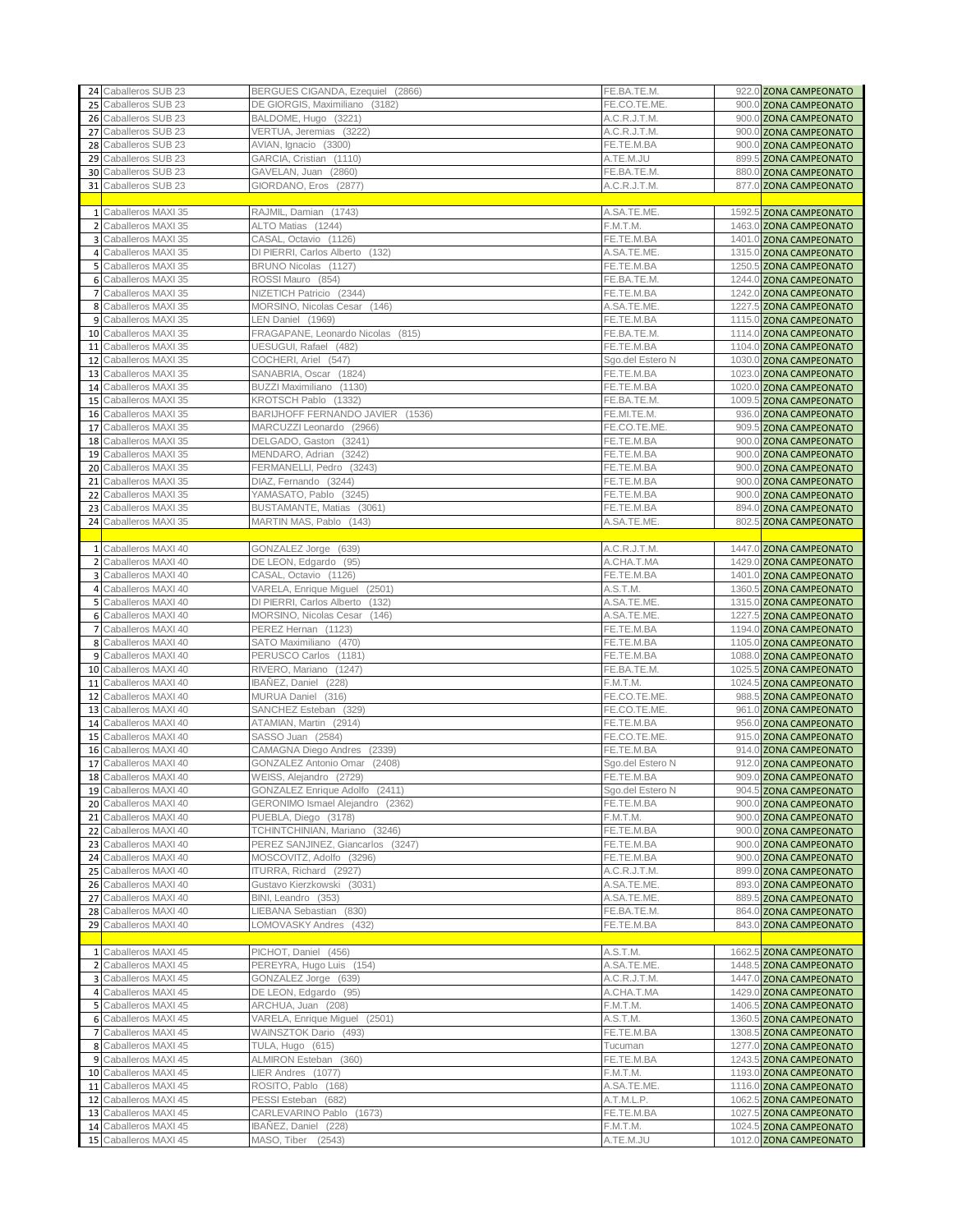|                         | 24 Caballeros SUB 23  | BERGUES CIGANDA, Ezequiel (2866)  | FE.BA.TE.M.      | 922.0 ZONA CAMPEONATO                            |
|-------------------------|-----------------------|-----------------------------------|------------------|--------------------------------------------------|
|                         | 25 Caballeros SUB 23  | DE GIORGIS, Maximiliano (3182)    | FE.CO.TE.ME      | 900.0 ZONA CAMPEONATO                            |
|                         | 26 Caballeros SUB 23  | BALDOME, Hugo (3221)              | A.C.R.J.T.M.     | 900.0 ZONA CAMPEONATO                            |
|                         |                       |                                   |                  | 900.0 ZONA CAMPEONATO                            |
|                         | 27 Caballeros SUB 23  | VERTUA, Jeremias (3222)           | A.C.R.J.T.M.     |                                                  |
|                         | 28 Caballeros SUB 23  | AVIAN, Ignacio (3300)             | FE.TE.M.BA       | 900.0 ZONA CAMPEONATO                            |
|                         | 29 Caballeros SUB 23  | GARCIA, Cristian (1110)           | A.TE.M.JU        | 899.5 ZONA CAMPEONATO                            |
|                         | 30 Caballeros SUB 23  | GAVELAN, Juan (2860)              | FE.BA.TE.M.      | 880.0 ZONA CAMPEONATO                            |
|                         | 31 Caballeros SUB 23  | GIORDANO, Eros (2877)             | A.C.R.J.T.M.     | 877.0 ZONA CAMPEONATO                            |
|                         |                       |                                   |                  |                                                  |
|                         | 1 Caballeros MAXI 35  | RAJMIL, Damian (1743)             | A.SA.TE.ME.      | 1592.5 ZONA CAMPEONATO                           |
|                         | 2 Caballeros MAXI 35  | ALTO Matias (1244)                | F.M.T.M.         | 1463.0 ZONA CAMPEONATO                           |
| $\overline{\mathbf{3}}$ | Caballeros MAXI 35    | CASAL, Octavio (1126)             | FE.TE.M.BA       | 1401.0 ZONA CAMPEONATO                           |
|                         | 4 Caballeros MAXI 35  | DI PIERRI. Carlos Alberto (132)   | A.SA.TE.ME       | 1315.0 ZONA CAMPEONATO                           |
|                         | 5 Caballeros MAXI 35  | BRUNO Nicolas (1127)              | FE.TE.M.BA       | 1250.5 ZONA CAMPEONATO                           |
|                         |                       |                                   |                  |                                                  |
|                         | 6 Caballeros MAXI 35  | ROSSI Mauro (854)                 | FE.BA.TE.M.      | 1244.0 ZONA CAMPEONATO                           |
| $\overline{7}$          | Caballeros MAXI 35    | NIZETICH Patricio (2344)          | FE.TE.M.BA       | 1242.0 ZONA CAMPEONATO                           |
|                         | 8 Caballeros MAXI 35  | MORSINO, Nicolas Cesar (146)      | A.SA.TE.ME       | 1227.5 ZONA CAMPEONATO                           |
|                         | 9 Caballeros MAXI 35  | LEN Daniel (1969)                 | FE.TE.M.BA       | 1115.0 ZONA CAMPEONATO                           |
|                         | 10 Caballeros MAXI 35 | FRAGAPANE, Leonardo Nicolas (815) | FE.BA.TE.M.      | 1114.0 ZONA CAMPEONATO                           |
| 11                      | Caballeros MAXI 35    | UESUGUI, Rafael (482)             | FE.TE.M.BA       | 1104.0 ZONA CAMPEONATO                           |
| 12                      | Caballeros MAXI 35    | COCHERI, Ariel (547)              | Sgo.del Estero N | 1030.0 ZONA CAMPEONATO                           |
|                         | 13 Caballeros MAXI 35 | SANABRIA, Oscar (1824)            | FE.TE.M.BA       | 1023.0 ZONA CAMPEONATO                           |
|                         | 14 Caballeros MAXI 35 | BUZZI Maximiliano (1130)          | FE.TE.M.BA       | 1020.0 ZONA CAMPEONATO                           |
|                         | 15 Caballeros MAXI 35 | KROTSCH Pablo (1332)              | FE.BA.TE.M.      | 1009.5 ZONA CAMPEONATO                           |
|                         | 16 Caballeros MAXI 35 | BARIJHOFF FERNANDO JAVIER (1536)  | FE.MI.TE.M.      | 936.0 ZONA CAMPEONATO                            |
|                         |                       |                                   |                  |                                                  |
|                         | 17 Caballeros MAXI 35 | MARCUZZI Leonardo (2966)          | FE.CO.TE.ME      | 909.5 ZONA CAMPEONATO                            |
|                         | 18 Caballeros MAXI 35 | DELGADO, Gaston (3241)            | FE.TE.M.BA       | 900.0 ZONA CAMPEONATO                            |
|                         | 19 Caballeros MAXI 35 | MENDARO, Adrian (3242)            | FE.TE.M.BA       | 900.0 ZONA CAMPEONATO                            |
| 20                      | Caballeros MAXI 35    | FERMANELLI, Pedro (3243)          | FE.TE.M.BA       | 900.0 ZONA CAMPEONATO                            |
| 21                      | Caballeros MAXI 35    | DIAZ, Fernando (3244)             | FE.TE.M.BA       | 900.0 ZONA CAMPEONATO                            |
|                         | 22 Caballeros MAXI 35 | YAMASATO, Pablo (3245)            | FE.TE.M.BA       | 900.0 ZONA CAMPEONATO                            |
| 23                      | Caballeros MAXI 35    | BUSTAMANTE, Matias (3061)         | FE.TE.M.BA       | 894.0 ZONA CAMPEONATO                            |
|                         | 24 Caballeros MAXI 35 | MARTIN MAS, Pablo (143)           | A.SA.TE.ME.      | 802.5 ZONA CAMPEONATO                            |
|                         |                       |                                   |                  |                                                  |
|                         | 1 Caballeros MAXI 40  | GONZALEZ Jorge (639)              | A.C.R.J.T.M.     | 1447.0 ZONA CAMPEONATO                           |
|                         | 2 Caballeros MAXI 40  | DE LEON, Edgardo (95)             | A.CHA.T.MA       | 1429.0 ZONA CAMPEONATO                           |
| 3                       | Caballeros MAXI 40    | CASAL, Octavio (1126)             | FE.TE.M.BA       | 1401.0 ZONA CAMPEONATO                           |
|                         | 4 Caballeros MAXI 40  | VARELA, Enrique Miguel (2501)     | A.S.T.M.         | 1360.5 ZONA CAMPEONATO                           |
|                         |                       |                                   | A.SA.TE.ME       |                                                  |
|                         | 5 Caballeros MAXI 40  | DI PIERRI, Carlos Alberto (132)   |                  | 1315.0 ZONA CAMPEONATO                           |
|                         | 6 Caballeros MAXI 40  | MORSINO, Nicolas Cesar<br>(146)   | A.SA.TE.ME       | 1227.5 ZONA CAMPEONATO                           |
| $\overline{7}$          | Caballeros MAXI 40    | PEREZ Hernan (1123)               | FE.TE.M.BA       | 1194.0 ZONA CAMPEONATO                           |
|                         | 8 Caballeros MAXI 40  | SATO Maximiliano (470)            | FE.TE.M.BA       | 1105.0 ZONA CAMPEONATO                           |
|                         | 9 Caballeros MAXI 40  | PERUSCO Carlos (1181)             | FE.TE.M.BA       | 1088.0 ZONA CAMPEONATO                           |
|                         | 10 Caballeros MAXI 40 | RIVERO, Mariano (1247)            | FE.BA.TE.M.      | 1025.5 ZONA CAMPEONATO                           |
| 11                      | Caballeros MAXI 40    | IBANEZ, Daniel (228)              | F.M.T.M.         | 1024.5 ZONA CAMPEONATO                           |
| 12                      | Caballeros MAXI 40    | MURUA Daniel (316)                | FE.CO.TE.ME.     | 988.5 ZONA CAMPEONATO                            |
| 13                      | Caballeros MAXI 40    | SANCHEZ Esteban (329)             | FE.CO.TE.ME      | 961.0 ZONA CAMPEONATO                            |
|                         | 14 Caballeros MAXI 40 | ATAMIAN, Martin (2914)            | FE.TE.M.BA       | 956.0 ZONA CAMPEONATO                            |
|                         | 15 Caballeros MAXI 40 | SASSO Juan (2584)                 | FE.CO.TE.ME      | 915.0 ZONA CAMPEONATO                            |
| 16                      | Caballeros MAXI 40    | CAMAGNA Diego Andres (2339)       | FE.TE.M.BA       | 914.0 ZONA CAMPEONATO                            |
|                         | 17 Caballeros MAXI 40 | GONZALEZ Antonio Omar (2408)      | Sgo.del Estero N | 912.0 ZONA CAMPEONATO                            |
|                         | 18 Caballeros MAXI 40 | WEISS, Alejandro (2729)           | FE.TE.M.BA       | 909.0 ZONA CAMPEONATO                            |
|                         |                       |                                   |                  |                                                  |
|                         | 19 Caballeros MAXI 40 | GONZALEZ Enrique Adolfo (2411)    | Sgo.del Estero N | 904.5 ZONA CAMPEONATO                            |
|                         | 20 Caballeros MAXI 40 | GERONIMO Ismael Alejandro (2362)  | FE.TE.M.BA       | 900.0 ZONA CAMPEONATO                            |
|                         | 21 Caballeros MAXI 40 | PUEBLA, Diego (3178)              | F.M.T.M.         | 900.0 ZONA CAMPEONATO                            |
|                         | 22 Caballeros MAXI 40 | TCHINTCHINIAN, Mariano (3246)     | FE.TE.M.BA       | 900.0 ZONA CAMPEONATO                            |
|                         | 23 Caballeros MAXI 40 | PEREZ SANJINEZ, Giancarlos (3247) | FE.TE.M.BA       | 900.0 ZONA CAMPEONATO                            |
|                         | 24 Caballeros MAXI 40 | MOSCOVITZ, Adolfo (3296)          | FE.TE.M.BA       | 900.0 ZONA CAMPEONATO                            |
|                         | 25 Caballeros MAXI 40 | ITURRA, Richard (2927)            | A.C.R.J.T.M.     | 899.0 ZONA CAMPEONATO                            |
|                         | 26 Caballeros MAXI 40 | Gustavo Kierzkowski (3031)        | A.SA.TE.ME.      | 893.0 ZONA CAMPEONATO                            |
| 27                      | Caballeros MAXI 40    | BINI, Leandro (353)               | A.SA.TE.ME.      | 889.5 ZONA CAMPEONATO                            |
|                         | 28 Caballeros MAXI 40 | LIEBANA Sebastian (830)           | FE.BA.TE.M.      | 864.0 ZONA CAMPEONATO                            |
|                         | 29 Caballeros MAXI 40 | LOMOVASKY Andres (432)            | FE.TE.M.BA       | 843.0 ZONA CAMPEONATO                            |
|                         |                       |                                   |                  |                                                  |
|                         | 1 Caballeros MAXI 45  | PICHOT, Daniel (456)              | A.S.T.M.         | 1662.5 ZONA CAMPEONATO                           |
|                         | 2 Caballeros MAXI 45  |                                   | A.SA.TE.ME.      |                                                  |
|                         |                       | PEREYRA, Hugo Luis (154)          |                  | 1448.5 ZONA CAMPEONATO                           |
|                         | 3 Caballeros MAXI 45  | GONZALEZ Jorge (639)              | A.C.R.J.T.M.     | 1447.0 ZONA CAMPEONATO                           |
|                         | 4 Caballeros MAXI 45  | DE LEON, Edgardo (95)             | A.CHA.T.MA       | 1429.0 ZONA CAMPEONATO                           |
|                         | 5 Caballeros MAXI 45  | ARCHUA, Juan (208)                | F.M.T.M.         | 1406.5 ZONA CAMPEONATO                           |
|                         | 6 Caballeros MAXI 45  | VARELA, Enrique Miguel (2501)     | A.S.T.M.         | 1360.5 ZONA CAMPEONATO                           |
| $\overline{7}$          | Caballeros MAXI 45    | WAINSZTOK Dario (493)             | FE.TE.M.BA       | 1308.5 ZONA CAMPEONATO                           |
|                         | 8 Caballeros MAXI 45  | TULA, Hugo (615)                  | Tucuman          | 1277.0 ZONA CAMPEONATO                           |
|                         | 9 Caballeros MAXI 45  | ALMIRON Esteban (360)             | FE.TE.M.BA       | 1243.5 ZONA CAMPEONATO                           |
|                         | 10 Caballeros MAXI 45 | LIER Andres (1077)                | F.M.T.M.         | 1193.0 ZONA CAMPEONATO                           |
|                         | 11 Caballeros MAXI 45 | ROSITO, Pablo (168)               | A.SA.TE.ME.      | 1116.0 ZONA CAMPEONATO                           |
|                         | 12 Caballeros MAXI 45 | PESSI Esteban (682)               | A.T.M.L.P.       | 1062.5 ZONA CAMPEONATO                           |
|                         | 13 Caballeros MAXI 45 | CARLEVARINO Pablo (1673)          | FE.TE.M.BA       | 1027.5 ZONA CAMPEONATO                           |
|                         | 14 Caballeros MAXI 45 | IBAÑEZ, Daniel (228)              | F.M.T.M.         |                                                  |
|                         | 15 Caballeros MAXI 45 | MASO, Tiber (2543)                | A.TE.M.JU        | 1024.5 ZONA CAMPEONATO<br>1012.0 ZONA CAMPEONATO |
|                         |                       |                                   |                  |                                                  |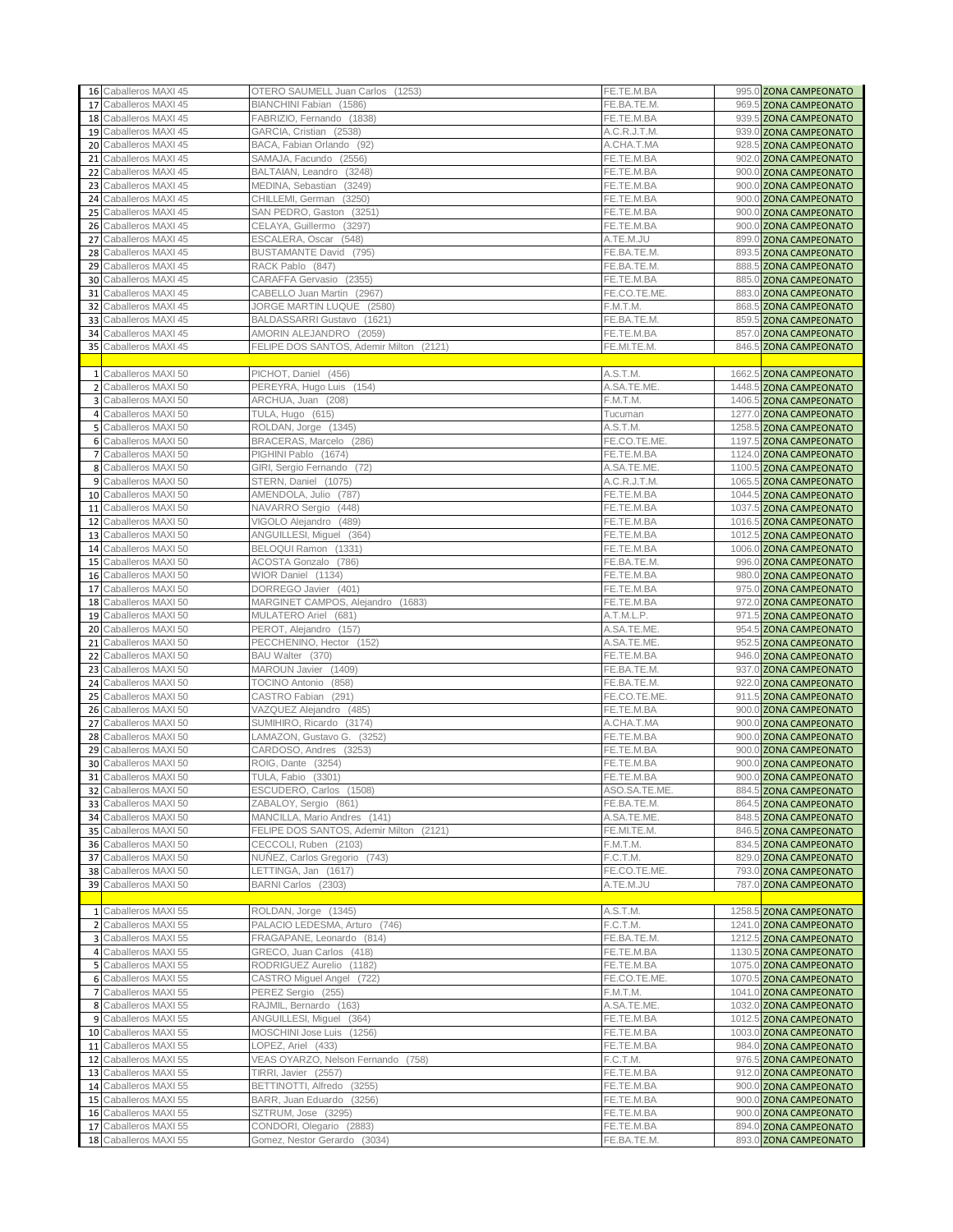|    | 16 Caballeros MAXI 45 | OTERO SAUMELL Juan Carlos (1253)        | FE.TE.M.BA    | 995.0 ZONA CAMPEONATO  |
|----|-----------------------|-----------------------------------------|---------------|------------------------|
|    | 17 Caballeros MAXI 45 | BIANCHINI Fabian (1586)                 | FE.BA.TE.M.   | 969.5 ZONA CAMPEONATO  |
|    | 18 Caballeros MAXI 45 | FABRIZIO, Fernando (1838)               | FE.TE.M.BA    | 939.5 ZONA CAMPEONATO  |
|    | 19 Caballeros MAXI 45 | GARCIA, Cristian (2538)                 | A.C.R.J.T.M.  | 939.0 ZONA CAMPEONATO  |
|    | 20 Caballeros MAXI 45 | BACA, Fabian Orlando (92)               | A.CHA.T.MA    | 928.5 ZONA CAMPEONATO  |
| 21 | Caballeros MAXI 45    | SAMAJA, Facundo (2556)                  | FE.TE.M.BA    | 902.0 ZONA CAMPEONATO  |
| 22 | Caballeros MAXI 45    | BALTAIAN, Leandro (3248)                | FE.TE.M.BA    | 900.0 ZONA CAMPEONATO  |
|    | Caballeros MAXI 45    | MEDINA, Sebastian (3249)                | FE.TE.M.BA    | 900.0 ZONA CAMPEONATO  |
| 23 |                       |                                         |               |                        |
|    | 24 Caballeros MAXI 45 | CHILLEMI, German (3250)                 | FE.TE.M.BA    | 900.0 ZONA CAMPEONATO  |
|    | 25 Caballeros MAXI 45 | SAN PEDRO, Gaston (3251)                | FE.TE.M.BA    | 900.0 ZONA CAMPEONATO  |
|    | 26 Caballeros MAXI 45 | CELAYA, Guillermo (3297)                | FE.TE.M.BA    | 900.0 ZONA CAMPEONATO  |
| 27 | Caballeros MAXI 45    | ESCALERA, Oscar (548)                   | A.TE.M.JU     | 899.0 ZONA CAMPEONATO  |
| 28 | Caballeros MAXI 45    | BUSTAMANTE David (795)                  | FE.BA.TE.M.   | 893.5 ZONA CAMPEONATO  |
| 29 | Caballeros MAXI 45    | RACK Pablo (847)                        | FE.BA.TE.M.   | 888.5 ZONA CAMPEONATO  |
|    | 30 Caballeros MAXI 45 | CARAFFA Gervasio (2355)                 | FE.TE.M.BA    | 885.0 ZONA CAMPEONATO  |
|    | Caballeros MAXI 45    | CABELLO Juan Martin (2967)              | FE.CO.TE.ME   |                        |
| 31 |                       |                                         |               | 883.0 ZONA CAMPEONATO  |
| 32 | Caballeros MAXI 45    | JORGE MARTIN LUQUE (2580)               | F.M.T.M.      | 868.5 ZONA CAMPEONATO  |
|    | 33 Caballeros MAXI 45 | BALDASSARRI Gustavo (1621)              | FE.BA.TE.M.   | 859.5 ZONA CAMPEONATO  |
|    | 34 Caballeros MAXI 45 | AMORIN ALEJANDRO (2059)                 | FE.TE.M.BA    | 857.0 ZONA CAMPEONATO  |
|    | 35 Caballeros MAXI 45 | FELIPE DOS SANTOS, Ademir Milton (2121) | FE.MI.TE.M.   | 846.5 ZONA CAMPEONATO  |
|    |                       |                                         |               |                        |
|    | 1 Caballeros MAXI 50  | PICHOT, Daniel (456)                    | A.S.T.M.      | 1662.5 ZONA CAMPEONATO |
|    | 2 Caballeros MAXI 50  |                                         | A.SA.TE.ME.   | 1448.5 ZONA CAMPEONATO |
|    |                       | PEREYRA, Hugo Luis (154)                |               |                        |
|    | 3 Caballeros MAXI 50  | ARCHUA, Juan (208)                      | F.M.T.M.      | 1406.5 ZONA CAMPEONATO |
|    | 4 Caballeros MAXI 50  | TULA, Hugo (615)                        | Tucuman       | 1277.0 ZONA CAMPEONATO |
|    | 5 Caballeros MAXI 50  | ROLDAN, Jorge (1345)                    | A.S.T.M.      | 1258.5 ZONA CAMPEONATO |
|    | 6 Caballeros MAXI 50  | BRACERAS, Marcelo (286)                 | FE.CO.TE.ME.  | 1197.5 ZONA CAMPEONATO |
|    | 7 Caballeros MAXI 50  | PIGHINI Pablo (1674)                    | FE.TE.M.BA    | 1124.0 ZONA CAMPEONATO |
|    | 8 Caballeros MAXI 50  | GIRI, Sergio Fernando (72)              | A.SA.TE.ME.   | 1100.5 ZONA CAMPEONATO |
| 9  | Caballeros MAXI 50    | STERN, Daniel (1075)                    | A.C.R.J.T.M.  | 1065.5 ZONA CAMPEONATO |
|    | 10 Caballeros MAXI 50 | AMENDOLA, Julio (787)                   | FE.TE.M.BA    | 1044.5 ZONA CAMPEONATO |
|    |                       |                                         |               |                        |
|    | 11 Caballeros MAXI 50 | NAVARRO Sergio (448)                    | FE.TE.M.BA    | 1037.5 ZONA CAMPEONATO |
| 12 | Caballeros MAXI 50    | VIGOLO Alejandro (489)                  | FE.TE.M.BA    | 1016.5 ZONA CAMPEONATO |
| 13 | Caballeros MAXI 50    | ANGUILLESI, Miguel (364)                | FE.TE.M.BA    | 1012.5 ZONA CAMPEONATO |
|    | 14 Caballeros MAXI 50 | BELOQUI Ramon (1331)                    | FE.TE.M.BA    | 1006.0 ZONA CAMPEONATO |
|    | 15 Caballeros MAXI 50 | ACOSTA Gonzalo (786)                    | FE.BA.TE.M.   | 996.0 ZONA CAMPEONATO  |
|    | 16 Caballeros MAXI 50 | WIOR Daniel (1134)                      | FE.TE.M.BA    | 980.0 ZONA CAMPEONATO  |
| 17 | Caballeros MAXI 50    | DORREGO Javier (401)                    | FE.TE.M.BA    | 975.0 ZONA CAMPEONATO  |
| 18 | Caballeros MAXI 50    | MARGINET CAMPOS, Alejandro (1683)       | FE.TE.M.BA    | 972.0 ZONA CAMPEONATO  |
|    |                       |                                         |               |                        |
|    | 19 Caballeros MAXI 50 | MULATERO Ariel (681)                    | A.T.M.L.P.    | 971.5 ZONA CAMPEONATO  |
|    | 20 Caballeros MAXI 50 | PEROT, Alejandro (157)                  | A.SA.TE.ME.   | 954.5 ZONA CAMPEONATO  |
|    | 21 Caballeros MAXI 50 | PECCHENINO, Hector (152)                | A.SA.TE.ME.   | 952.5 ZONA CAMPEONATO  |
| 22 | Caballeros MAXI 50    | BAU Walter (370)                        | FE.TE.M.BA    | 946.0 ZONA CAMPEONATO  |
|    | 23 Caballeros MAXI 50 | MAROUN Javier (1409)                    | FE.BA.TE.M.   | 937.0 ZONA CAMPEONATO  |
|    | 24 Caballeros MAXI 50 | TOCINO Antonio (858)                    | FE.BA.TE.M.   | 922.0 ZONA CAMPEONATO  |
|    | 25 Caballeros MAXI 50 | CASTRO Fabian (291)                     | FE.CO.TE.ME.  | 911.5 ZONA CAMPEONATO  |
| 26 | Caballeros MAXI 50    | VAZQUEZ Alejandro (485)                 | FE.TE.M.BA    | 900.0 ZONA CAMPEONATO  |
|    | Caballeros MAXI 50    |                                         | A.CHA.T.MA    | 900.0 ZONA CAMPEONATO  |
| 27 |                       | SUMIHIRO, Ricardo (3174)                |               |                        |
|    | 28 Caballeros MAXI 50 | LAMAZON, Gustavo G. (3252)              | FE.TE.M.BA    | 900.0 ZONA CAMPEONATO  |
| 29 | Caballeros MAXI 50    | CARDOSO, Andres (3253)                  | FE.TE.M.BA    | 900.0 ZONA CAMPEONATO  |
|    | 30 Caballeros MAXI 50 | ROIG, Dante (3254)                      | FE.TE.M.BA    | 900.0 ZONA CAMPEONATO  |
|    | 31 Caballeros MAXI 50 | TULA, Fabio (3301)                      | FE.TE.M.BA    | 900.0 ZONA CAMPEONATO  |
|    | 32 Caballeros MAXI 50 | ESCUDERO, Carlos (1508)                 | ASO.SA.TE.ME. | 884.5 ZONA CAMPEONATO  |
|    | 33 Caballeros MAXI 50 | ZABALOY, Sergio (861)                   | FE.BA.TE.M.   | 864.5 ZONA CAMPEONATO  |
|    | 34 Caballeros MAXI 50 | MANCILLA, Mario Andres (141)            | A.SA.TE.ME.   | 848.5 ZONA CAMPEONATO  |
|    | 35 Caballeros MAXI 50 | FELIPE DOS SANTOS, Ademir Milton (2121) | FE.MI.TE.M.   | 846.5 ZONA CAMPEONATO  |
|    | 36 Caballeros MAXI 50 | CECCOLI, Ruben (2103)                   | F.M.T.M.      | 834.5 ZONA CAMPEONATO  |
|    |                       |                                         |               |                        |
|    | 37 Caballeros MAXI 50 | NUÑEZ, Carlos Gregorio (743)            | F.C.T.M.      | 829.0 ZONA CAMPEONATO  |
|    | 38 Caballeros MAXI 50 | LETTINGA, Jan (1617)                    | FE.CO.TE.ME.  | 793.0 ZONA CAMPEONATO  |
|    | 39 Caballeros MAXI 50 | BARNI Carlos (2303)                     | A.TE.M.JU     | 787.0 ZONA CAMPEONATO  |
|    |                       |                                         |               |                        |
|    | 1 Caballeros MAXI 55  | ROLDAN, Jorge (1345)                    | A.S.T.M.      | 1258.5 ZONA CAMPEONATO |
|    | 2 Caballeros MAXI 55  | PALACIO LEDESMA, Arturo (746)           | F.C.T.M.      | 1241.0 ZONA CAMPEONATO |
|    | 3 Caballeros MAXI 55  | FRAGAPANE, Leonardo (814)               | FE.BA.TE.M.   | 1212.5 ZONA CAMPEONATO |
|    | 4 Caballeros MAXI 55  | GRECO, Juan Carlos (418)                | FE.TE.M.BA    | 1130.5 ZONA CAMPEONATO |
|    |                       | RODRIGUEZ Aurelio (1182)                |               |                        |
|    | 5 Caballeros MAXI 55  |                                         | FE.TE.M.BA    | 1075.0 ZONA CAMPEONATO |
|    | 6 Caballeros MAXI 55  | CASTRO Miguel Angel (722)               | FE.CO.TE.ME.  | 1070.5 ZONA CAMPEONATO |
|    | 7 Caballeros MAXI 55  | PEREZ Sergio (255)                      | F.M.T.M.      | 1041.0 ZONA CAMPEONATO |
|    | 8 Caballeros MAXI 55  | RAJMIL, Bernardo (163)                  | A.SA.TE.ME.   | 1032.0 ZONA CAMPEONATO |
|    | 9 Caballeros MAXI 55  | ANGUILLESI, Miguel (364)                | FE.TE.M.BA    | 1012.5 ZONA CAMPEONATO |
|    | 10 Caballeros MAXI 55 | MOSCHINI Jose Luis (1256)               | FE.TE.M.BA    | 1003.0 ZONA CAMPEONATO |
|    | 11 Caballeros MAXI 55 | LOPEZ, Ariel (433)                      | FE.TE.M.BA    | 984.0 ZONA CAMPEONATO  |
|    |                       |                                         | F.C.T.M.      |                        |
|    | 12 Caballeros MAXI 55 | VEAS OYARZO, Nelson Fernando (758)      |               | 976.5 ZONA CAMPEONATO  |
|    | 13 Caballeros MAXI 55 | TIRRI, Javier (2557)                    | FE.TE.M.BA    | 912.0 ZONA CAMPEONATO  |
|    | 14 Caballeros MAXI 55 | BETTINOTTI, Alfredo (3255)              | FE.TE.M.BA    | 900.0 ZONA CAMPEONATO  |
|    | 15 Caballeros MAXI 55 | BARR, Juan Eduardo (3256)               | FE.TE.M.BA    | 900.0 ZONA CAMPEONATO  |
|    | 16 Caballeros MAXI 55 | SZTRUM, Jose (3295)                     | FE.TE.M.BA    | 900.0 ZONA CAMPEONATO  |
|    | 17 Caballeros MAXI 55 | CONDORI, Olegario (2883)                | FE.TE.M.BA    | 894.0 ZONA CAMPEONATO  |
|    | 18 Caballeros MAXI 55 | Gomez, Nestor Gerardo (3034)            | FE.BA.TE.M.   | 893.0 ZONA CAMPEONATO  |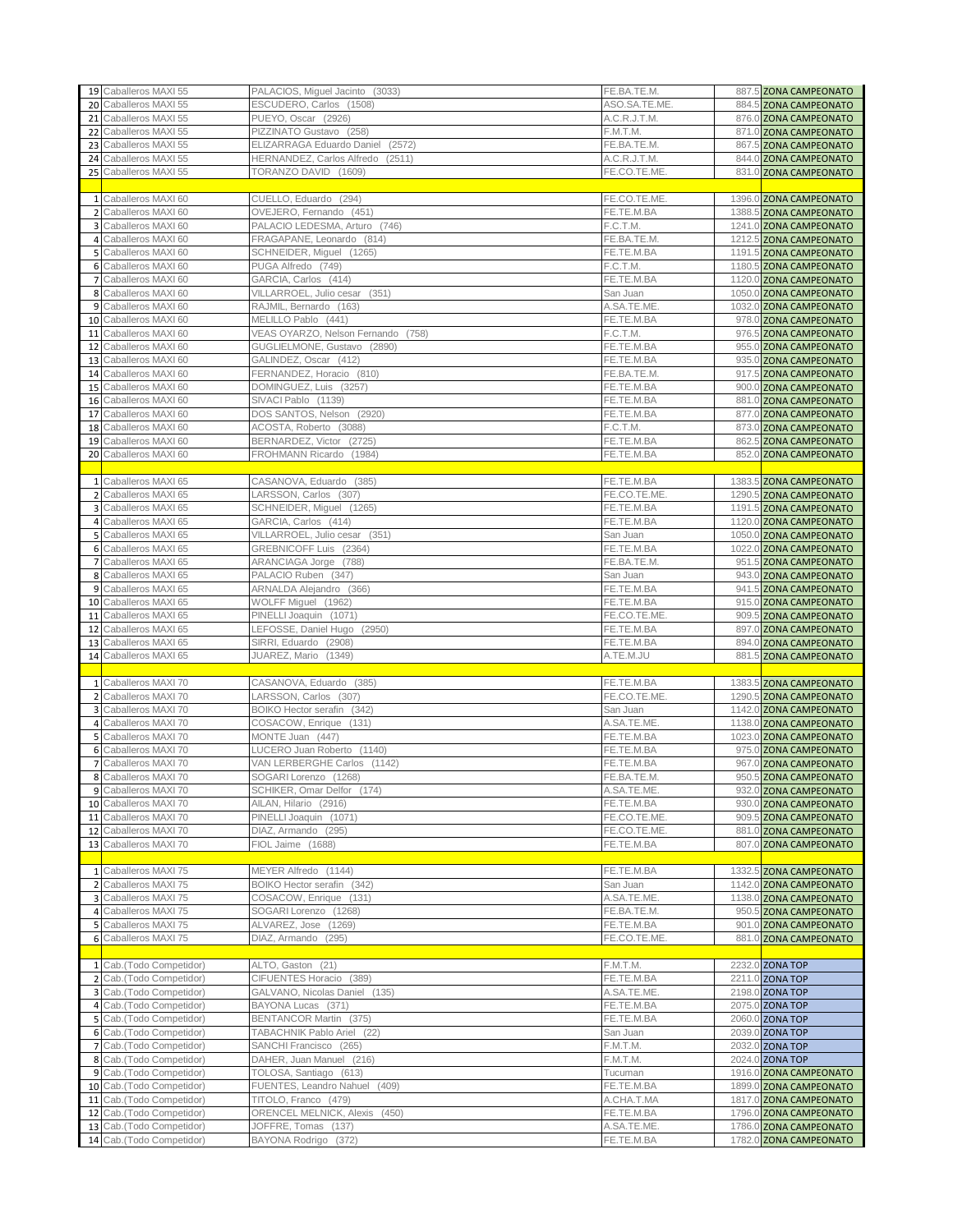|                 | 19 Caballeros MAXI 55                                | PALACIOS, Miguel Jacinto (3033)             | FE.BA.TE.M.              | 887.5 ZONA CAMPEONATO                            |
|-----------------|------------------------------------------------------|---------------------------------------------|--------------------------|--------------------------------------------------|
|                 | 20 Caballeros MAXI 55                                | ESCUDERO, Carlos (1508)                     | ASO.SA.TE.ME             | 884.5 ZONA CAMPEONATO                            |
|                 | 21 Caballeros MAXI 55                                | PUEYO, Oscar (2926)                         | A.C.R.J.T.M.             | 876.0 ZONA CAMPEONATO                            |
|                 |                                                      |                                             |                          |                                                  |
|                 | 22 Caballeros MAXI 55                                | PIZZINATO Gustavo (258)                     | F.M.T.M.                 | 871.0 ZONA CAMPEONATO                            |
| 23              | Caballeros MAXI 55                                   | ELIZARRAGA Eduardo Daniel<br>(2572)         | FE.BA.TE.M.              | 867.5 ZONA CAMPEONATO                            |
| 24              | Caballeros MAXI 55                                   | HERNANDEZ, Carlos Alfredo (2511)            | A.C.R.J.T.M.             | 844.0 ZONA CAMPEONATO                            |
| 25              | Caballeros MAXI 55                                   | TORANZO DAVID (1609)                        | FE.CO.TE.ME              | 831.0 ZONA CAMPEONATO                            |
|                 |                                                      |                                             |                          |                                                  |
|                 | 1 Caballeros MAXI 60                                 | CUELLO, Eduardo (294)                       | FE.CO.TE.ME              | 1396.0 ZONA CAMPEONATO                           |
|                 | 2 Caballeros MAXI 60                                 | OVEJERO, Fernando (451)                     | FE.TE.M.BA               | 1388.5 ZONA CAMPEONATO                           |
|                 | 3 Caballeros MAXI 60                                 | PALACIO LEDESMA, Arturo (746)               | F.C.T.M.                 | 1241.0 ZONA CAMPEONATO                           |
|                 | 4 Caballeros MAXI 60                                 | FRAGAPANE, Leonardo (814)                   | FE.BA.TE.M.              | 1212.5 ZONA CAMPEONATO                           |
|                 | 5 Caballeros MAXI 60                                 | SCHNEIDER, Miguel (1265)                    | FE.TE.M.BA               | 1191.5 ZONA CAMPEONATO                           |
| 6               | Caballeros MAXI 60                                   | PUGA Alfredo (749)                          | F.C.T.M.                 | 1180.5 ZONA CAMPEONATO                           |
|                 | 7 Caballeros MAXI 60                                 |                                             |                          |                                                  |
|                 |                                                      | GARCIA, Carlos (414)                        | FE.TE.M.BA               | 1120.0 ZONA CAMPEONATO                           |
|                 | 8 Caballeros MAXI 60                                 | VILLARROEL, Julio cesar (351)               | San Juan                 | 1050.0 ZONA CAMPEONATO                           |
|                 | 9 Caballeros MAXI 60                                 | RAJMIL, Bernardo (163)                      | A.SA.TE.ME               | 1032.0 ZONA CAMPEONATO                           |
|                 | 10 Caballeros MAXI 60                                | MELILLO Pablo (441)                         | FE.TE.M.BA               | 978.0 ZONA CAMPEONATO                            |
|                 | 11 Caballeros MAXI 60                                | VEAS OYARZO, Nelson Fernando (758)          | F.C.T.M.                 | 976.5 ZONA CAMPEONATO                            |
|                 | 12 Caballeros MAXI 60                                | GUGLIELMONE, Gustavo (2890)                 | FE.TE.M.BA               | 955.0 ZONA CAMPEONATO                            |
|                 | 13 Caballeros MAXI 60                                | GALINDEZ, Oscar (412)                       | FE.TE.M.BA               | 935.0 ZONA CAMPEONATO                            |
|                 | 14 Caballeros MAXI 60                                | FERNANDEZ, Horacio (810)                    | FE.BA.TE.M.              | 917.5 ZONA CAMPEONATO                            |
| 15 <sub>1</sub> | Caballeros MAXI 60                                   | DOMINGUEZ, Luis (3257)                      | FE.TE.M.BA               | 900.0 ZONA CAMPEONATO                            |
|                 | 16 Caballeros MAXI 60                                | SIVACI Pablo (1139)                         | FE.TE.M.BA               | 881.0 ZONA CAMPEONATO                            |
|                 |                                                      |                                             |                          |                                                  |
| 17 <sup>1</sup> | Caballeros MAXI 60                                   | DOS SANTOS, Nelson (2920)                   | FE.TE.M.BA               | 877.0 ZONA CAMPEONATO                            |
|                 | 18 Caballeros MAXI 60                                | ACOSTA, Roberto (3088)                      | F.C.T.M.                 | 873.0 ZONA CAMPEONATO                            |
|                 | 19 Caballeros MAXI 60                                | BERNARDEZ, Victor (2725)                    | FE.TE.M.BA               | 862.5 ZONA CAMPEONATO                            |
|                 | 20 Caballeros MAXI 60                                | FROHMANN Ricardo (1984)                     | FE.TE.M.BA               | 852.0 ZONA CAMPEONATO                            |
|                 |                                                      |                                             |                          |                                                  |
|                 | 1 Caballeros MAXI 65                                 | CASANOVA, Eduardo (385)                     | FE.TE.M.BA               | 1383.5 ZONA CAMPEONATO                           |
| $\overline{2}$  | Caballeros MAXI 65                                   | LARSSON, Carlos (307)                       | FE.CO.TE.ME.             | 1290.5 ZONA CAMPEONATO                           |
|                 | 3 Caballeros MAXI 65                                 | SCHNEIDER, Miguel (1265)                    | FE.TE.M.BA               | 1191.5 ZONA CAMPEONATO                           |
|                 | 4 Caballeros MAXI 65                                 | GARCIA, Carlos (414)                        | FE.TE.M.BA               | 1120.0 ZONA CAMPEONATO                           |
|                 | 5 Caballeros MAXI 65                                 | VILLARROEL, Julio cesar (351)               | San Juan                 | 1050.0 ZONA CAMPEONATO                           |
|                 |                                                      |                                             |                          |                                                  |
|                 | 6 Caballeros MAXI 65                                 | GREBNICOFF Luis (2364)                      | FE.TE.M.BA               | 1022.0 ZONA CAMPEONATO                           |
|                 | 7 Caballeros MAXI 65                                 | ARANCIAGA Jorge (788)                       | FE.BA.TE.M.              | 951.5 ZONA CAMPEONATO                            |
|                 | 8 Caballeros MAXI 65                                 | PALACIO Ruben (347)                         | San Juan                 | 943.0 ZONA CAMPEONATO                            |
|                 | 9 Caballeros MAXI 65                                 | ARNALDA Alejandro (366)                     | FE.TE.M.BA               | 941.5 ZONA CAMPEONATO                            |
|                 | 10 Caballeros MAXI 65                                | WOLFF Miguel (1962)                         | FE.TE.M.BA               | 915.0 ZONA CAMPEONATO                            |
|                 | 11 Caballeros MAXI 65                                | PINELLI Joaquin (1071)                      | FE.CO.TE.ME.             | 909.5 ZONA CAMPEONATO                            |
|                 | 12 Caballeros MAXI 65                                | LEFOSSE, Daniel Hugo (2950)                 | FE.TE.M.BA               | 897.0 ZONA CAMPEONATO                            |
|                 | 13 Caballeros MAXI 65                                | SIRRI, Eduardo (2908)                       | FE.TE.M.BA               | 894.0 ZONA CAMPEONATO                            |
|                 | 14 Caballeros MAXI 65                                | JUAREZ, Mario (1349)                        | A.TE.M.JU                | 881.5 ZONA CAMPEONATO                            |
|                 |                                                      |                                             |                          |                                                  |
|                 | 1 Caballeros MAXI 70                                 | CASANOVA, Eduardo (385)                     | FE.TE.M.BA               | 1383.5 ZONA CAMPEONATO                           |
|                 | 2 Caballeros MAXI 70                                 | LARSSON, Carlos (307)                       | FE.CO.TE.ME              | 1290.5 ZONA CAMPEONATO                           |
|                 |                                                      |                                             |                          |                                                  |
| 3               | Caballeros MAXI 70                                   | BOIKO Hector serafin (342)                  | San Juan                 | 1142.0 ZONA CAMPEONATO                           |
| 4               | Caballeros MAXI 70                                   |                                             |                          |                                                  |
|                 |                                                      | COSACOW, Enrique (131)                      | A.SA.TE.ME.              | 1138.0 ZONA CAMPEONATO                           |
|                 | 5 Caballeros MAXI 70                                 | MONTE Juan (447)                            | FE.TE.M.BA               | 1023.0 ZONA CAMPEONATO                           |
| 6               | Caballeros MAXI 70                                   | LUCERO Juan Roberto (1140)                  | FE.TE.M.BA               | 975.0 ZONA CAMPEONATO                            |
| $\overline{7}$  | Caballeros MAXI 70                                   | VAN LERBERGHE Carlos (1142)                 | FE.TE.M.BA               | 967.0 ZONA CAMPEONATO                            |
|                 | 8 Caballeros MAXI 70                                 | SOGARI Lorenzo (1268)                       | FE.BA.TE.M.              | 950.5 ZONA CAMPEONATO                            |
|                 | 9 Caballeros MAXI 70                                 | SCHIKER, Omar Delfor (174)                  | A.SA.TE.ME.              | 932.0 ZONA CAMPEONATO                            |
|                 | 10 Caballeros MAXI 70                                | AILAN, Hilario (2916)                       | FE.TE.M.BA               | 930.0 ZONA CAMPEONATO                            |
|                 | 11 Caballeros MAXI 70                                | PINELLI Joaquin (1071)                      | FE.CO.TE.ME.             |                                                  |
|                 |                                                      |                                             |                          | 909.5 ZONA CAMPEONATO                            |
|                 | 12 Caballeros MAXI 70                                | DIAZ, Armando (295)                         | FE.CO.TE.ME.             | 881.0 ZONA CAMPEONATO                            |
|                 | 13 Caballeros MAXI 70                                | FIOL Jaime (1688)                           | FE.TE.M.BA               | 807.0 ZONA CAMPEONATO                            |
|                 |                                                      |                                             |                          |                                                  |
|                 | 1 Caballeros MAXI 75                                 | MEYER Alfredo (1144)                        | FE.TE.M.BA               | 1332.5 ZONA CAMPEONATO                           |
|                 | 2 Caballeros MAXI 75                                 | BOIKO Hector serafin (342)                  | San Juan                 | 1142.0 ZONA CAMPEONATO                           |
|                 | 3 Caballeros MAXI 75                                 | COSACOW, Enrique (131)                      | A.SA.TE.ME.              | 1138.0 ZONA CAMPEONATO                           |
|                 | 4 Caballeros MAXI 75                                 | SOGARI Lorenzo (1268)                       | FE.BA.TE.M.              | 950.5 ZONA CAMPEONATO                            |
|                 | 5 Caballeros MAXI 75                                 | ALVAREZ, Jose (1269)                        | FE.TE.M.BA               | 901.0 ZONA CAMPEONATO                            |
|                 | 6 Caballeros MAXI 75                                 | DIAZ, Armando (295)                         | FE.CO.TE.ME.             | 881.0 ZONA CAMPEONATO                            |
|                 |                                                      |                                             |                          |                                                  |
|                 | 1 Cab.(Todo Competidor)                              | ALTO, Gaston (21)                           | F.M.T.M.                 | 2232.0 ZONA TOP                                  |
|                 |                                                      | CIFUENTES Horacio (389)                     |                          |                                                  |
|                 | 2 Cab.(Todo Competidor)                              |                                             | FE.TE.M.BA               | 2211.0 ZONA TOP                                  |
|                 | 3 Cab.(Todo Competidor)                              | GALVANO, Nicolas Daniel (135)               | A.SA.TE.ME.              | 2198.0 ZONA TOP                                  |
|                 | 4 Cab.(Todo Competidor)                              | BAYONA Lucas (371)                          | FE.TE.M.BA               | 2075.0 ZONA TOP                                  |
|                 | 5 Cab.(Todo Competidor)                              | BENTANCOR Martin (375)                      | FE.TE.M.BA               | 2060.0 ZONA TOP                                  |
|                 | 6 Cab.(Todo Competidor)                              | TABACHNIK Pablo Ariel (22)                  | San Juan                 | 2039.0 ZONA TOP                                  |
|                 | 7 Cab.(Todo Competidor)                              | SANCHI Francisco (265)                      | F.M.T.M.                 | 2032.0 ZONA TOP                                  |
| 8               | Cab.(Todo Competidor)                                | DAHER, Juan Manuel (216)                    | F.M.T.M.                 | 2024.0 ZONA TOP                                  |
|                 | 9 Cab.(Todo Competidor)                              | TOLOSA, Santiago (613)                      | Tucuman                  | 1916.0 ZONA CAMPEONATO                           |
|                 | 10 Cab.(Todo Competidor)                             | FUENTES, Leandro Nahuel (409)               | FE.TE.M.BA               | 1899.0 ZONA CAMPEONATO                           |
|                 | 11 Cab.(Todo Competidor)                             | TITOLO, Franco (479)                        | A.CHA.T.MA               | 1817.0 ZONA CAMPEONATO                           |
|                 |                                                      | ORENCEL MELNICK, Alexis (450)               | FE.TE.M.BA               |                                                  |
|                 | 12 Cab.(Todo Competidor)                             |                                             |                          | 1796.0 ZONA CAMPEONATO                           |
|                 | 13 Cab.(Todo Competidor)<br>14 Cab.(Todo Competidor) | JOFFRE, Tomas (137)<br>BAYONA Rodrigo (372) | A.SA.TE.ME<br>FE.TE.M.BA | 1786.0 ZONA CAMPEONATO<br>1782.0 ZONA CAMPEONATO |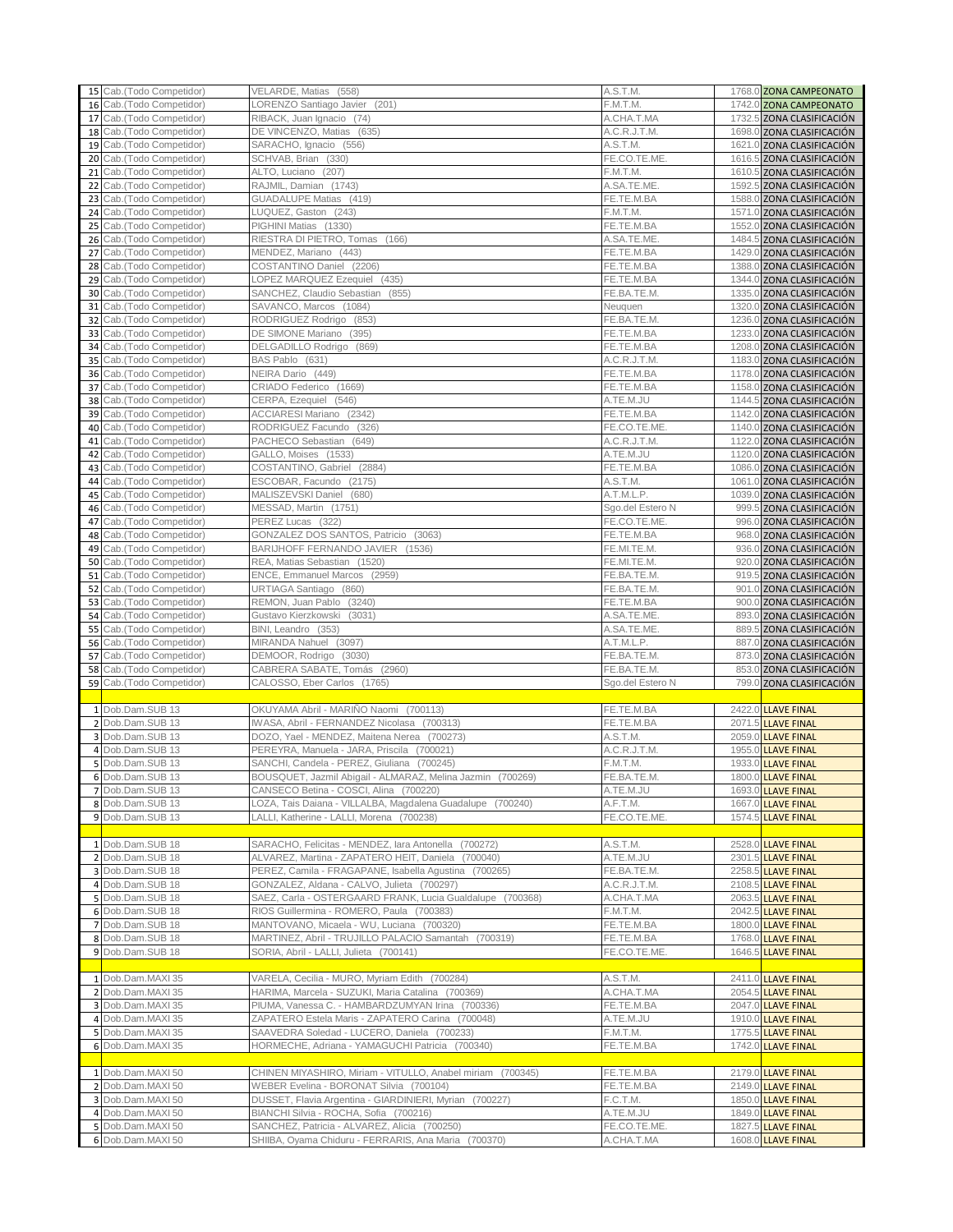|          | 15 Cab. (Todo Competidor)                      | VELARDE, Matias (558)                                                                              | A.S.T.M.                  | 1768.0 ZONA CAMPEONATO                                 |
|----------|------------------------------------------------|----------------------------------------------------------------------------------------------------|---------------------------|--------------------------------------------------------|
| 16       | Cab.(Todo Competidor)                          | LORENZO Santiago Javier (201)                                                                      | F.M.T.M.                  | 1742.0 ZONA CAMPEONATO                                 |
| 17       | Cab.(Todo Competidor)                          | RIBACK, Juan Ignacio (74)                                                                          | A.CHA.T.MA                | 1732.5 ZONA CLASIFICACIÓN                              |
| 18       | Cab.(Todo Competidor)                          | DE VINCENZO, Matias (635)                                                                          | A.C.R.J.T.M.              | 1698.0 ZONA CLASIFICACIÓN                              |
|          | 19 Cab.(Todo Competidor)                       | SARACHO, Ignacio (556)                                                                             | A.S.T.M.                  | 1621.0 ZONA CLASIFICACIÓN                              |
| 20       | Cab.(Todo Competidor)                          | SCHVAB, Brian (330)                                                                                | FE.CO.TE.ME               | 1616.5 ZONA CLASIFICACIÓN                              |
| 21       | Cab.(Todo Competidor)                          | ALTO, Luciano (207)                                                                                | F.M.T.M.                  | 1610.5 ZONA CLASIFICACIÓN                              |
| 22       | Cab.(Todo Competidor)                          | RAJMIL, Damian (1743)                                                                              | A.SA.TE.ME                | 1592.5 ZONA CLASIFICACIÓN                              |
| 23       | Cab.(Todo Competidor)                          | GUADALUPE Matias (419)                                                                             | FE.TE.M.BA                | 1588.0 ZONA CLASIFICACIÓN                              |
| 24       | Cab.(Todo Competidor)                          | LUQUEZ, Gaston (243)                                                                               | F.M.T.M.                  | 1571.0 ZONA CLASIFICACIÓN                              |
| 25       | Cab.(Todo Competidor)                          | PIGHINI Matias (1330)                                                                              | FE.TE.M.BA                | 1552.0 ZONA CLASIFICACIÓN                              |
| 26       | Cab.(Todo Competidor)                          | RIESTRA DI PIETRO, Tomas (166)                                                                     | A.SA.TE.ME<br>FE.TE.M.BA  | 1484.5 ZONA CLASIFICACIÓN                              |
| 27       | Cab.(Todo Competidor)<br>Cab.(Todo Competidor) | MENDEZ, Mariano (443)<br>COSTANTINO Daniel (2206)                                                  | FE.TE.M.BA                | 1429.0 ZONA CLASIFICACIÓN<br>1388.0 ZONA CLASIFICACIÓN |
| 28<br>29 | Cab.(Todo Competidor)                          | LOPEZ MARQUEZ Ezequiel (435)                                                                       | FE.TE.M.BA                | 1344.0 ZONA CLASIFICACIÓN                              |
| 30       | Cab.(Todo Competidor)                          | SANCHEZ, Claudio Sebastian (855)                                                                   | FE.BA.TE.M.               | 1335.0 ZONA CLASIFICACIÓN                              |
| 31       | Cab.(Todo Competidor)                          | SAVANCO, Marcos (1084)                                                                             | Neuguen                   | 1320.0 ZONA CLASIFICACIÓN                              |
| 32       | Cab.(Todo Competidor)                          | RODRIGUEZ Rodrigo (853)                                                                            | FE.BA.TE.M.               | 1236.0 ZONA CLASIFICACIÓN                              |
| 33       | Cab.(Todo Competidor)                          | DE SIMONE Mariano<br>(395)                                                                         | FE.TE.M.BA                | 1233.0 ZONA CLASIFICACIÓN                              |
| 34       | Cab.(Todo Competidor)                          | DELGADILLO Rodrigo (869)                                                                           | FE.TE.M.BA                | 1208.0 ZONA CLASIFICACIÓN                              |
| 35       | Cab.(Todo Competidor)                          | BAS Pablo (631)                                                                                    | A.C.R.J.T.M.              | 1183.0 ZONA CLASIFICACIÓN                              |
| 36       | Cab.(Todo Competidor)                          | NEIRA Dario (449)                                                                                  | FE.TE.M.BA                | 1178.0 ZONA CLASIFICACIÓN                              |
| 37       | Cab.(Todo Competidor)                          | CRIADO Federico (1669)                                                                             | FE.TE.M.BA                | 1158.0 ZONA CLASIFICACIÓN                              |
| 38       | Cab.(Todo Competidor)                          | CERPA, Ezequiel (546)                                                                              | A.TE.M.JU                 | 1144.5 ZONA CLASIFICACIÓN                              |
| 39       | Cab.(Todo Competidor)                          | ACCIARESI Mariano (2342)                                                                           | FE.TE.M.BA                | 1142.0 ZONA CLASIFICACIÓN                              |
| 40       | Cab.(Todo Competidor)                          | RODRIGUEZ Facundo (326)                                                                            | FE.CO.TE.ME               | 1140.0 ZONA CLASIFICACIÓN                              |
| 41       | Cab.(Todo Competidor)                          | PACHECO Sebastian (649)                                                                            | A.C.R.J.T.M.              | 1122.0 ZONA CLASIFICACIÓN                              |
| 42       | Cab.(Todo Competidor)                          | GALLO, Moises (1533)                                                                               | A.TE.M.JU                 | 1120.0 ZONA CLASIFICACIÓN                              |
| 43       | Cab.(Todo Competidor)                          | COSTANTINO, Gabriel (2884)                                                                         | FE.TE.M.BA                | 1086.0 ZONA CLASIFICACIÓN                              |
| 44       | Cab.(Todo Competidor)                          | ESCOBAR, Facundo (2175)                                                                            | A.S.T.M.                  | 1061.0 ZONA CLASIFICACIÓN                              |
| 45       | Cab.(Todo Competidor)                          | MALISZEVSKI Daniel (680)                                                                           | A.T.M.L.P.                | 1039.0 ZONA CLASIFICACIÓN                              |
| 46       | Cab.(Todo Competidor)                          | MESSAD, Martin (1751)                                                                              | Sgo.del Estero N          | 999.5 ZONA CLASIFICACIÓN                               |
| 47       | Cab.(Todo Competidor)                          | PEREZ Lucas (322)<br>GONZALEZ DOS SANTOS, Patricio (3063)                                          | FE.CO.TE.ME               | 996.0 ZONA CLASIFICACIÓN                               |
| 48       | Cab.(Todo Competidor)<br>Cab.(Todo Competidor) | BARIJHOFF FERNANDO JAVIER (1536)                                                                   | FE.TE.M.BA<br>FE.MI.TE.M. | 968.0 ZONA CLASIFICACIÓN                               |
| 49<br>50 | Cab.(Todo Competidor)                          | REA, Matias Sebastian (1520)                                                                       | FE.MI.TE.M.               | 936.0 ZONA CLASIFICACIÓN<br>920.0 ZONA CLASIFICACIÓN   |
| 51       | Cab.(Todo Competidor)                          | ENCE, Emmanuel Marcos (2959)                                                                       | FE.BA.TE.M.               | 919.5 ZONA CLASIFICACIÓN                               |
| 52       | Cab.(Todo Competidor)                          | URTIAGA Santiago (860)                                                                             | FE.BA.TE.M.               | 901.0 ZONA CLASIFICACIÓN                               |
| 53       | Cab.(Todo Competidor)                          | REMON, Juan Pablo (3240)                                                                           | FE.TE.M.BA                | 900.0 ZONA CLASIFICACIÓN                               |
| 54       | Cab.(Todo Competidor)                          | Gustavo Kierzkowski<br>(3031)                                                                      | A.SA.TE.ME                | 893.0 ZONA CLASIFICACIÓN                               |
| 55       | Cab.(Todo Competidor)                          | BINI, Leandro (353)                                                                                | A.SA.TE.ME                | 889.5 ZONA CLASIFICACIÓN                               |
| 56       | Cab.(Todo Competidor)                          | MIRANDA Nahuel (3097)                                                                              | A.T.M.L.P.                | 887.0 ZONA CLASIFICACIÓN                               |
| 57       | Cab.(Todo Competidor)                          | DEMOOR, Rodrigo (3030)                                                                             | FE.BA.TE.M.               | 873.0 ZONA CLASIFICACIÓN                               |
| 58       | Cab.(Todo Competidor)                          | CABRERA SABATE, Tomás (2960)                                                                       | FE.BA.TE.M.               | 853.0 ZONA CLASIFICACIÓN                               |
|          | 59 Cab.(Todo Competidor)                       | CALOSSO, Eber Carlos (1765)                                                                        |                           |                                                        |
|          |                                                |                                                                                                    | Sgo.del Estero N          | 799.0 ZONA CLASIFICACIÓN                               |
|          |                                                |                                                                                                    |                           |                                                        |
|          | 1 Dob.Dam.SUB 13                               | OKUYAMA Abril - MARIÑO Naomi (700113)                                                              | FE.TE.M.BA                | 2422.0 LLAVE FINAL                                     |
|          | 2 Dob.Dam.SUB 13                               | IWASA, Abril - FERNANDEZ Nicolasa (700313)                                                         | FE.TE.M.BA                | 2071.5 LLAVE FINAL                                     |
|          | 3 Dob.Dam.SUB 13                               | DOZO, Yael - MENDEZ, Maitena Nerea (700273)                                                        | A.S.T.M.                  | 2059.0 LLAVE FINAL                                     |
|          | 4 Dob.Dam.SUB 13                               | PEREYRA, Manuela - JARA, Priscila (700021)                                                         | A.C.R.J.T.M.              | 1955.0 LLAVE FINAL                                     |
|          | 5 Dob.Dam.SUB 13                               | SANCHI, Candela - PEREZ, Giuliana (700245)                                                         | F.M.T.M.                  | 1933.0 LLAVE FINAL                                     |
|          | 6 Dob.Dam.SUB 13                               | BOUSQUET, Jazmil Abigail - ALMARAZ, Melina Jazmin (700269)                                         | FE.BA.TE.M.               | 1800.0 LLAVE FINAL                                     |
|          | 7 Dob.Dam.SUB 13                               | CANSECO Betina - COSCI, Alina (700220)                                                             | A.TE.M.JU                 | 1693.0 LLAVE FINAL                                     |
|          | 8 Dob.Dam.SUB 13                               | LOZA, Tais Daiana - VILLALBA, Magdalena Guadalupe (700240)                                         | A.F.T.M.<br>FE.CO.TE.ME.  | 1667.0 LLAVE FINAL                                     |
|          | 9 Dob.Dam.SUB 13                               | LALLI, Katherine - LALLI, Morena (700238)                                                          |                           | 1574.5 LLAVE FINAL                                     |
|          | 1 Dob.Dam.SUB 18                               | SARACHO, Felicitas - MENDEZ, lara Antonella (700272)                                               | A.S.T.M.                  | 2528.0 LLAVE FINAL                                     |
|          | 2 Dob.Dam.SUB 18                               | ALVAREZ, Martina - ZAPATERO HEIT, Daniela (700040)                                                 | A.TE.M.JU                 | 2301.5 LLAVE FINAL                                     |
|          | 3 Dob.Dam.SUB 18                               | PEREZ, Camila - FRAGAPANE, Isabella Agustina (700265)                                              | FE.BA.TE.M.               | 2258.5 LLAVE FINAL                                     |
|          | 4 Dob.Dam.SUB 18                               | GONZALEZ, Aldana - CALVO, Julieta (700297)                                                         | A.C.R.J.T.M.              | 2108.5 LLAVE FINAL                                     |
|          | 5 Dob.Dam.SUB 18                               | SAEZ, Carla - OSTERGAARD FRANK, Lucia Gualdalupe (700368)                                          | A.CHA.T.MA                | 2063.5 LLAVE FINAL                                     |
|          | 6 Dob.Dam.SUB 18                               | RIOS Guillermina - ROMERO, Paula (700383)                                                          | F.M.T.M.                  | 2042.5 LLAVE FINAL                                     |
|          | 7 Dob.Dam.SUB 18                               | MANTOVANO, Micaela - WU, Luciana (700320)                                                          | FE.TE.M.BA                | 1800.0 LLAVE FINAL                                     |
|          | 8 Dob.Dam.SUB 18                               | MARTINEZ, Abril - TRUJILLO PALACIO Samantah (700319)                                               | FE.TE.M.BA                | 1768.0 LLAVE FINAL                                     |
|          | 9 Dob.Dam.SUB 18                               | SORIA, Abril - LALLI, Julieta (700141)                                                             | FE.CO.TE.ME.              | 1646.5 LLAVE FINAL                                     |
|          |                                                |                                                                                                    |                           |                                                        |
|          | 1 Dob.Dam.MAXI 35                              | VARELA, Cecilia - MURO, Myriam Edith (700284)                                                      | A.S.T.M.                  | 2411.0 LLAVE FINAL                                     |
|          | 2 Dob.Dam.MAXI 35                              | HARIMA, Marcela - SUZUKI, Maria Catalina (700369)                                                  | A.CHA.T.MA                | 2054.5 LLAVE FINAL                                     |
|          | 3 Dob.Dam.MAXI 35                              | PIUMA, Vanessa C. - HAMBARDZUMYAN Irina (700336)                                                   | FE.TE.M.BA                | 2047.0 LLAVE FINAL                                     |
|          | 4 Dob.Dam.MAXI 35                              | ZAPATERO Estela Maris - ZAPATERO Carina (700048)                                                   | A.TE.M.JU                 | 1910.0 LLAVE FINAL                                     |
|          | 5 Dob.Dam.MAXI 35                              | SAAVEDRA Soledad - LUCERO, Daniela (700233)                                                        | F.M.T.M.                  | 1775.5 LLAVE FINAL                                     |
|          | 6 Dob.Dam.MAXI 35                              | HORMECHE, Adriana - YAMAGUCHI Patricia (700340)                                                    | FE.TE.M.BA                | 1742.0 LLAVE FINAL                                     |
|          | 1 Dob.Dam.MAXI 50                              |                                                                                                    | FE.TE.M.BA                |                                                        |
|          | 2 Dob.Dam.MAXI 50                              | CHINEN MIYASHIRO, Miriam - VITULLO, Anabel miriam (700345)                                         | FE.TE.M.BA                | 2179.0 LLAVE FINAL                                     |
|          | 3 Dob.Dam.MAXI 50                              | WEBER Evelina - BORONAT Silvia (700104)<br>DUSSET, Flavia Argentina - GIARDINIERI, Myrian (700227) | F.C.T.M.                  | 2149.0 LLAVE FINAL<br>1850.0 LLAVE FINAL               |
|          | 4 Dob.Dam.MAXI 50                              | BIANCHI Silvia - ROCHA, Sofia (700216)                                                             | A.TE.M.JU                 | 1849.0 LLAVE FINAL                                     |
|          | 5 Dob.Dam.MAXI 50                              | SANCHEZ, Patricia - ALVAREZ, Alicia (700250)                                                       | FE.CO.TE.ME.              | 1827.5 LLAVE FINAL                                     |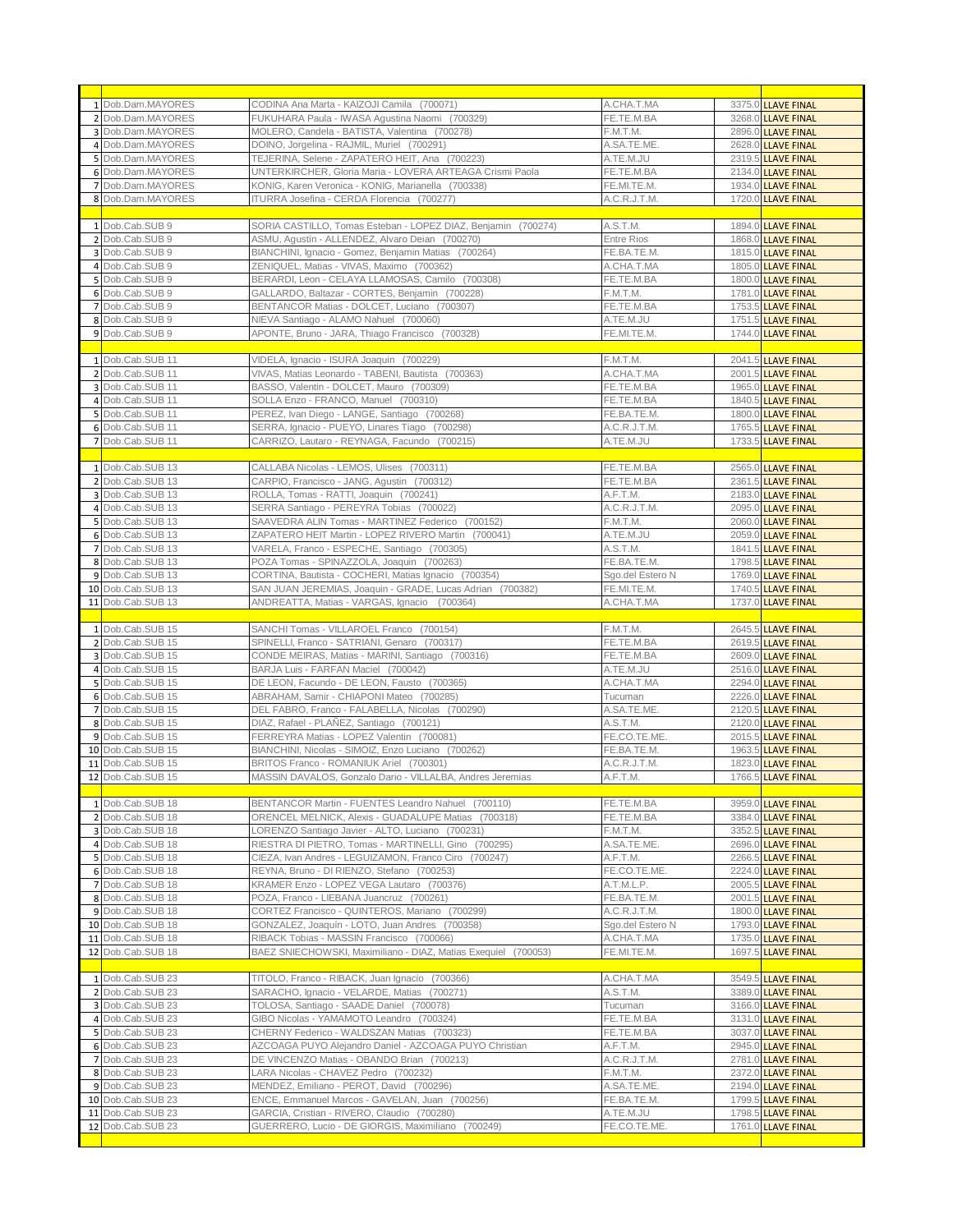| 1 Dob.Dam.MAYORES | CODINA Ana Marta - KAIZOJI Camila (700071)                     | A.CHA.T.MA        | 3375.0 LLAVE FINAL |
|-------------------|----------------------------------------------------------------|-------------------|--------------------|
| 2 Dob.Dam.MAYORES | FUKUHARA Paula - IWASA Agustina Naomi (700329)                 | FE.TE.M.BA        | 3268.0 LLAVE FINAL |
|                   |                                                                |                   |                    |
| 3 Dob.Dam.MAYORES | MOLERO, Candela - BATISTA, Valentina (700278)                  | F.M.T.M.          | 2896.0 LLAVE FINAL |
| 4 Dob.Dam.MAYORES | DOINO, Jorgelina - RAJMIL, Muriel (700291)                     | A.SA.TE.ME.       | 2628.0 LLAVE FINAL |
| 5 Dob.Dam.MAYORES | TEJERINA, Selene - ZAPATERO HEIT, Ana (700223)                 | A.TE.M.JU         | 2319.5 LLAVE FINAL |
| 6 Dob.Dam.MAYORES | UNTERKIRCHER, Gloria Maria - LOVERA ARTEAGA Crismi Paola       | FE.TE.M.BA        | 2134.0 LLAVE FINAL |
| 7 Dob.Dam.MAYORES | KONIG, Karen Veronica - KONIG, Marianella (700338)             | FE.MI.TE.M.       | 1934.0 LLAVE FINAL |
| 8 Dob.Dam.MAYORES | ITURRA Josefina - CERDA Florencia (700277)                     | A.C.R.J.T.M.      | 1720.0 LLAVE FINAL |
|                   |                                                                |                   |                    |
| 1 Dob.Cab.SUB 9   | SORIA CASTILLO, Tomas Esteban - LOPEZ DIAZ, Benjamin (700274)  | A.S.T.M.          | 1894.0 LLAVE FINAL |
| 2 Dob.Cab.SUB 9   | ASMU, Agustín - ALLENDEZ, Alvaro Deian (700270)                | <b>Entre Rios</b> | 1868.0 LLAVE FINAL |
| 3 Dob.Cab.SUB 9   | BIANCHINI, Ignacio - Gomez, Benjamin Matias (700264)           | FE.BA.TE.M.       | 1815.0 LLAVE FINAL |
| 4 Dob.Cab.SUB 9   | ZENIQUEL, Matias - VIVAS, Maximo (700362)                      | A.CHA.T.MA        | 1805.0 LLAVE FINAL |
| 5 Dob.Cab.SUB 9   | BERARDI, Leon - CELAYA LLAMOSAS, Camilo (700308)               | FE.TE.M.BA        | 1800.0 LLAVE FINAL |
|                   |                                                                | F.M.T.M.          |                    |
| 6 Dob.Cab.SUB 9   | GALLARDO, Baltazar - CORTES, Benjamin (700228)                 |                   | 1781.0 LLAVE FINAL |
| 7 Dob.Cab.SUB 9   | BENTANCOR Matias - DOLCET, Luciano (700307)                    | FE.TE.M.BA        | 1753.5 LLAVE FINAL |
| 8 Dob.Cab.SUB 9   | NIEVA Santiago - ALAMO Nahuel (700060)                         | A.TE.M.JU         | 1751.5 LLAVE FINAL |
| 9 Dob.Cab.SUB 9   | APONTE, Bruno - JARA, Thiago Francisco (700328)                | FE.MI.TE.M.       | 1744.0 LLAVE FINAL |
|                   |                                                                |                   |                    |
| 1 Dob.Cab.SUB 11  | VIDELA, Ignacio - ISURA Joaquin (700229)                       | F.M.T.M.          | 2041.5 LLAVE FINAL |
| 2 Dob.Cab.SUB 11  | VIVAS, Matias Leonardo - TABENI, Bautista (700363)             | A.CHA.T.MA        | 2001.5 LLAVE FINAL |
| 3 Dob.Cab.SUB 11  | BASSO, Valentin - DOLCET, Mauro (700309)                       | FE.TE.M.BA        | 1965.0 LLAVE FINAL |
| 4 Dob.Cab.SUB 11  | SOLLA Enzo - FRANCO, Manuel (700310)                           | FE.TE.M.BA        | 1840.5 LLAVE FINAL |
| 5 Dob.Cab.SUB 11  | PEREZ, Ivan Diego - LANGE, Santiago (700268)                   | FE.BA.TE.M.       | 1800.0 LLAVE FINAL |
| 6 Dob.Cab.SUB 11  | SERRA, Ignacio - PUEYO, Linares Tiago (700298)                 | A.C.R.J.T.M.      | 1765.5 LLAVE FINAL |
| 7 Dob.Cab.SUB 11  | CARRIZO, Lautaro - REYNAGA, Facundo (700215)                   | A.TE.M.JU         | 1733.5 LLAVE FINAL |
|                   |                                                                |                   |                    |
| 1 Dob.Cab.SUB 13  | CALLABA Nicolas - LEMOS, Ulises (700311)                       | FE.TE.M.BA        | 2565.0 LLAVE FINAL |
| 2 Dob.Cab.SUB 13  | CARPIO, Francisco - JANG, Agustin (700312)                     | FE.TE.M.BA        | 2361.5 LLAVE FINAL |
| 3 Dob.Cab.SUB 13  | ROLLA, Tomas - RATTI, Joaquin (700241)                         | A.F.T.M.          | 2183.0 LLAVE FINAL |
| 4 Dob.Cab.SUB 13  | SERRA Santiago - PEREYRA Tobias (700022)                       | A.C.R.J.T.M.      |                    |
|                   |                                                                |                   | 2095.0 LLAVE FINAL |
| 5 Dob.Cab.SUB 13  | SAAVEDRA ALIN Tomas - MARTINEZ Federico (700152)               | F.M.T.M.          | 2060.0 LLAVE FINAL |
| 6 Dob.Cab.SUB 13  | ZAPATERO HEIT Martin - LOPEZ RIVERO Martin (700041)            | A.TE.M.JU         | 2059.0 LLAVE FINAL |
| 7 Dob.Cab.SUB 13  | VARELA, Franco - ESPECHE, Santiago (700305)                    | A.S.T.M.          | 1841.5 LLAVE FINAL |
| 8 Dob.Cab.SUB 13  | POZA Tomas - SPINAZZOLA, Joaquin (700263)                      | FE.BA.TE.M.       | 1798.5 LLAVE FINAL |
| 9 Dob.Cab.SUB 13  | CORTINA, Bautista - COCHERI, Matias Ignacio (700354)           | Sgo.del Estero N  | 1769.0 LLAVE FINAL |
| 10 Dob.Cab.SUB 13 | SAN JUAN JEREMIAS, Joaquin - GRADE, Lucas Adrian (700382)      | FE.MI.TE.M.       | 1740.5 LLAVE FINAL |
| 11 Dob.Cab.SUB 13 | ANDREATTA, Matias - VARGAS, Ignacio (700364)                   | A.CHA.T.MA        | 1737.0 LLAVE FINAL |
|                   |                                                                |                   |                    |
|                   |                                                                |                   |                    |
| 1 Dob.Cab.SUB 15  | SANCHI Tomas - VILLAROEL Franco (700154)                       | F.M.T.M.          | 2645.5 LLAVE FINAL |
| 2 Dob.Cab.SUB 15  | SPINELLI, Franco - SATRIANI, Genaro (700317)                   | FE.TE.M.BA        | 2619.5 LLAVE FINAL |
| 3 Dob.Cab.SUB 15  | CONDE MEIRAS, Matias - MARINI, Santiago (700316)               | FE.TE.M.BA        | 2609.0 LLAVE FINAL |
| 4 Dob.Cab.SUB 15  | BARJA Luis - FARFAN Maciel (700042)                            | A.TE.M.JU         | 2516.0 LLAVE FINAL |
| 5 Dob.Cab.SUB 15  | DE LEON, Facundo - DE LEON, Fausto (700365)                    |                   | 2294.0 LLAVE FINAL |
|                   |                                                                | A.CHA.T.MA        |                    |
| 6 Dob.Cab.SUB 15  | ABRAHAM, Samir - CHIAPONI Mateo (700285)                       | Tucuman           | 2226.0 LLAVE FINAL |
| 7 Dob.Cab.SUB 15  | DEL FABRO, Franco - FALABELLA, Nicolas (700290)                | A.SA.TE.ME.       | 2120.5 LLAVE FINAL |
| 8 Dob.Cab.SUB 15  | DIAZ, Rafael - PLAÑEZ, Santiago (700121)                       | A.S.T.M.          | 2120.0 LLAVE FINAL |
| 9 Dob.Cab.SUB 15  | FERREYRA Matias - LOPEZ Valentin (700081)                      | FE.CO.TE.ME.      | 2015.5 LLAVE FINAL |
| 10 Dob.Cab.SUB 15 | BIANCHINI, Nicolas - SIMOIZ, Enzo Luciano (700262)             | FE.BA.TE.M.       | 1963.5 LLAVE FINAL |
| 11 Dob.Cab.SUB 15 | BRITOS Franco - ROMANIUK Ariel (700301)                        | A.C.R.J.T.M.      | 1823.0 LLAVE FINAL |
| 12 Dob.Cab.SUB 15 | MASSIN DAVALOS, Gonzalo Dario - VILLALBA, Andres Jeremias      | A.F.T.M.          | 1766.5 LLAVE FINAL |
|                   |                                                                |                   |                    |
| 1 Dob.Cab.SUB 18  | BENTANCOR Martin - FUENTES Leandro Nahuel (700110)             | FE.TE.M.BA        | 3959.0 LLAVE FINAL |
| 2 Dob.Cab.SUB 18  | ORENCEL MELNICK, Alexis - GUADALUPE Matias (700318)            | FE.TE.M.BA        | 3384.0 LLAVE FINAL |
| 3 Dob.Cab.SUB 18  | LORENZO Santiago Javier - ALTO, Luciano (700231)               | F.M.T.M.          | 3352.5 LLAVE FINAL |
| 4 Dob.Cab.SUB 18  | RIESTRA DI PIETRO, Tomas - MARTINELLI, Gino (700295)           | A.SA.TE.ME.       | 2696.0 LLAVE FINAL |
| 5 Dob.Cab.SUB 18  | CIEZA, Ivan Andres - LEGUIZAMON, Franco Ciro (700247)          | A.F.T.M.          | 2266.5 LLAVE FINAL |
| 6 Dob.Cab.SUB 18  | REYNA, Bruno - DI RIENZO, Stefano (700253)                     | FE.CO.TE.ME.      | 2224.0 LLAVE FINAL |
| 7 Dob.Cab.SUB 18  | KRAMER Enzo - LOPEZ VEGA Lautaro (700376)                      | A.T.M.L.P.        | 2005.5 LLAVE FINAL |
| 8 Dob.Cab.SUB 18  | POZA, Franco - LIEBANA Juancruz (700261)                       | FE.BA.TE.M.       | 2001.5 LLAVE FINAL |
| 9 Dob.Cab.SUB 18  | CORTEZ Francisco - QUINTEROS, Mariano (700299)                 | A.C.R.J.T.M.      | 1800.0 LLAVE FINAL |
| 10 Dob.Cab.SUB 18 | GONZALEZ, Joaquín - LOTO, Juan Andres (700358)                 | Sgo.del Estero N  | 1793.0 LLAVE FINAL |
| 11 Dob.Cab.SUB 18 | RIBACK Tobias - MASSIN Francisco (700066)                      | A.CHA.T.MA        | 1735.0 LLAVE FINAL |
| 12 Dob.Cab.SUB 18 | BAEZ SNIECHOWSKI, Maximiliano - DIAZ, Matias Exequiel (700053) | FE.MI.TE.M.       | 1697.5 LLAVE FINAL |
|                   |                                                                |                   |                    |
| 1 Dob.Cab.SUB 23  | TITOLO, Franco - RIBACK, Juan Ignacio (700366)                 | A.CHA.T.MA        | 3549.5 LLAVE FINAL |
| 2 Dob.Cab.SUB 23  | SARACHO, Ignacio - VELARDE, Matias (700271)                    | A.S.T.M.          |                    |
|                   |                                                                |                   | 3389.0 LLAVE FINAL |
| 3 Dob.Cab.SUB 23  | TOLOSA, Santiago - SAADE Daniel (700078)                       | Tucuman           | 3166.0 LLAVE FINAL |
| 4 Dob.Cab.SUB 23  | GIBO Nicolas - YAMAMOTO Leandro (700324)                       | FE.TE.M.BA        | 3131.0 LLAVE FINAL |
| 5 Dob.Cab.SUB 23  | CHERNY Federico - WALDSZAN Matias (700323)                     | FE.TE.M.BA        | 3037.0 LLAVE FINAL |
| 6 Dob.Cab.SUB 23  | AZCOAGA PUYO Alejandro Daniel - AZCOAGA PUYO Christian         | A.F.T.M.          | 2945.0 LLAVE FINAL |
| 7 Dob.Cab.SUB 23  | DE VINCENZO Matias - OBANDO Brian (700213)                     | A.C.R.J.T.M.      | 2781.0 LLAVE FINAL |
| 8 Dob.Cab.SUB 23  | LARA Nicolas - CHAVEZ Pedro (700232)                           | F.M.T.M.          | 2372.0 LLAVE FINAL |
| 9 Dob.Cab.SUB 23  | MENDEZ, Emiliano - PEROT, David (700296)                       | A.SA.TE.ME.       | 2194.0 LLAVE FINAL |
| 10 Dob.Cab.SUB 23 | ENCE, Emmanuel Marcos - GAVELAN, Juan (700256)                 | FE.BA.TE.M.       | 1799.5 LLAVE FINAL |
| 11 Dob.Cab.SUB 23 | GARCIA, Cristian - RIVERO, Claudio (700280)                    | A.TE.M.JU         | 1798.5 LLAVE FINAL |
| 12 Dob.Cab.SUB 23 | GUERRERO, Lucio - DE GIORGIS, Maximiliano (700249)             | FE.CO.TE.ME.      | 1761.0 LLAVE FINAL |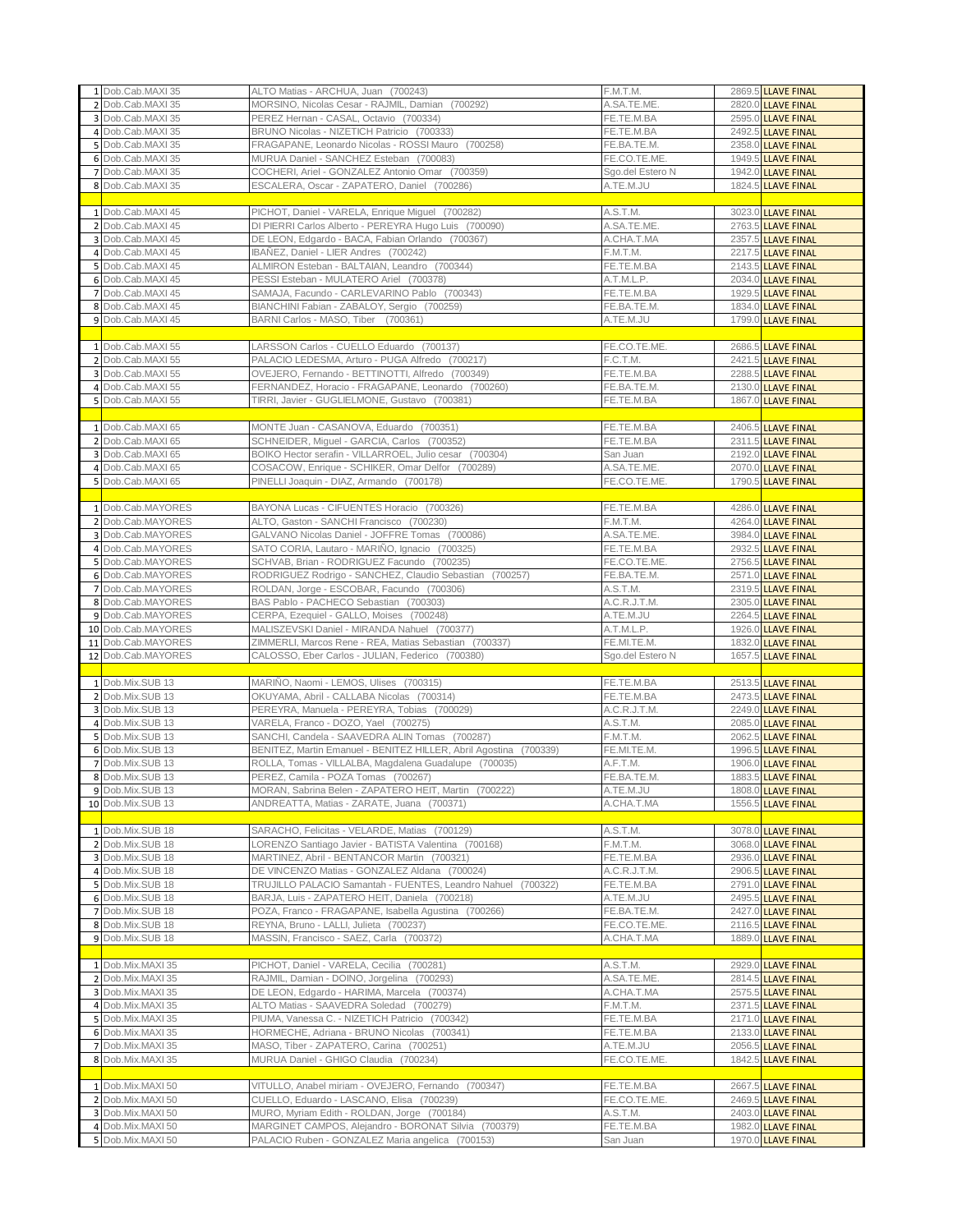| 1 Dob.Cab.MAXI 35                      | ALTO Matias - ARCHUA, Juan (700243)                                                                      | F.M.T.M.               | 2869.5 LLAVE FINAL                       |
|----------------------------------------|----------------------------------------------------------------------------------------------------------|------------------------|------------------------------------------|
| 2 Dob.Cab.MAXI 35                      | MORSINO, Nicolas Cesar - RAJMIL, Damian (700292)                                                         | A.SA.TE.ME.            | 2820.0 LLAVE FINAL                       |
| 3 Dob.Cab.MAXI 35                      | PEREZ Hernan - CASAL, Octavio (700334)                                                                   | FE.TE.M.BA             | 2595.0 LLAVE FINAL                       |
| 4 Dob.Cab.MAXI 35                      | BRUNO Nicolas - NIZETICH Patricio (700333)                                                               | FE.TE.M.BA             | 2492.5 LLAVE FINAL                       |
| 5 Dob.Cab.MAXI 35                      | FRAGAPANE, Leonardo Nicolas - ROSSI Mauro (700258)                                                       | FE.BA.TE.M.            | 2358.0 LLAVE FINAL                       |
| 6 Dob.Cab.MAXI 35                      | MURUA Daniel - SANCHEZ Esteban (700083)                                                                  | FE.CO.TE.ME.           | 1949.5 LLAVE FINAL                       |
| 7 Dob.Cab.MAXI 35                      | COCHERI, Ariel - GONZALEZ Antonio Omar (700359)                                                          | Sgo.del Estero N       | 1942.0 LLAVE FINAL                       |
| 8 Dob.Cab.MAXI 35                      | ESCALERA, Oscar - ZAPATERO, Daniel (700286)                                                              | A.TE.M.JU              | 1824.5 LLAVE FINAL                       |
|                                        |                                                                                                          |                        |                                          |
|                                        |                                                                                                          |                        |                                          |
| 1 Dob.Cab.MAXI 45                      | PICHOT, Daniel - VARELA, Enrique Miguel (700282)                                                         | A.S.T.M.               | 3023.0 LLAVE FINAL                       |
| 2 Dob.Cab.MAXI 45                      | DI PIERRI Carlos Alberto - PEREYRA Hugo Luis (700090)                                                    | A.SA.TE.ME.            | 2763.5 LLAVE FINAL                       |
| 3 Dob.Cab.MAXI 45                      | DE LEON, Edgardo - BACA, Fabian Orlando (700367)                                                         | A.CHA.T.MA             | 2357.5 LLAVE FINAL                       |
| 4 Dob.Cab.MAXI 45                      | IBAÑEZ, Daniel - LIER Andres (700242)                                                                    | F.M.T.M.               | 2217.5 LLAVE FINAL                       |
| 5 Dob.Cab.MAXI 45                      | ALMIRON Esteban - BALTAIAN, Leandro (700344)                                                             | FE.TE.M.BA             | 2143.5 LLAVE FINAL                       |
| 6 Dob.Cab.MAXI 45                      | PESSI Esteban - MULATERO Ariel (700378)                                                                  | A.T.M.L.P.             | 2034.0 LLAVE FINAL                       |
| 7 Dob.Cab.MAXI 45                      | SAMAJA, Facundo - CARLEVARINO Pablo (700343)                                                             | FE.TE.M.BA             | 1929.5 LLAVE FINAL                       |
|                                        |                                                                                                          |                        |                                          |
| 8 Dob.Cab.MAXI 45                      | BIANCHINI Fabian - ZABALOY, Sergio (700259)                                                              | FE.BA.TE.M.            | 1834.0 LLAVE FINAL                       |
| 9 Dob.Cab.MAXI 45                      | BARNI Carlos - MASO, Tiber (700361)                                                                      | A.TE.M.JU              | 1799.0 LLAVE FINAL                       |
|                                        |                                                                                                          |                        |                                          |
| 1 Dob.Cab.MAXI 55                      | LARSSON Carlos - CUELLO Eduardo (700137)                                                                 | FE.CO.TE.ME.           | 2686.5 LLAVE FINAL                       |
| 2 Dob.Cab.MAXI 55                      | PALACIO LEDESMA, Arturo - PUGA Alfredo (700217)                                                          | F.C.T.M.               | 2421.5 LLAVE FINAL                       |
| 3 Dob.Cab.MAXI 55                      | OVEJERO, Fernando - BETTINOTTI, Alfredo (700349)                                                         | FE.TE.M.BA             | 2288.5 LLAVE FINAL                       |
| 4 Dob.Cab.MAXI 55                      | FERNANDEZ, Horacio - FRAGAPANE, Leonardo (700260)                                                        | FE.BA.TE.M.            | 2130.0 LLAVE FINAL                       |
| 5 Dob.Cab.MAXI 55                      | TIRRI, Javier - GUGLIELMONE, Gustavo (700381)                                                            |                        | 1867.0 LLAVE FINAL                       |
|                                        |                                                                                                          | FE.TE.M.BA             |                                          |
|                                        |                                                                                                          |                        |                                          |
| 1 Dob.Cab.MAXI 65                      | MONTE Juan - CASANOVA, Eduardo (700351)                                                                  | FE.TE.M.BA             | 2406.5 LLAVE FINAL                       |
| 2 Dob.Cab.MAXI 65                      | SCHNEIDER, Miguel - GARCIA, Carlos (700352)                                                              | FE.TE.M.BA             | 2311.5 LLAVE FINAL                       |
| 3 Dob.Cab.MAXI 65                      | BOIKO Hector serafin - VILLARROEL, Julio cesar (700304)                                                  | San Juan               | 2192.0 LLAVE FINAL                       |
| 4 Dob.Cab.MAXI 65                      | COSACOW, Enrique - SCHIKER, Omar Delfor (700289)                                                         | A.SA.TE.ME.            | 2070.0 LLAVE FINAL                       |
| 5 Dob.Cab.MAXI 65                      | PINELLI Joaquin - DIAZ, Armando (700178)                                                                 | FE.CO.TE.ME.           | 1790.5 LLAVE FINAL                       |
|                                        |                                                                                                          |                        |                                          |
|                                        |                                                                                                          |                        |                                          |
| 1 Dob.Cab.MAYORES                      | BAYONA Lucas - CIFUENTES Horacio (700326)                                                                | FE.TE.M.BA             | 4286.0 LLAVE FINAL                       |
| 2 Dob.Cab.MAYORES                      | ALTO, Gaston - SANCHI Francisco (700230)                                                                 | F.M.T.M.               | 4264.0 LLAVE FINAL                       |
| 3 Dob.Cab.MAYORES                      | GALVANO Nicolas Daniel - JOFFRE Tomas (700086)                                                           | A.SA.TE.ME.            | 3984.0 LLAVE FINAL                       |
| 4 Dob.Cab.MAYORES                      | SATO CORIA, Lautaro - MARIÑO, Ignacio (700325)                                                           | FE.TE.M.BA             | 2932.5 LLAVE FINAL                       |
| 5 Dob.Cab.MAYORES                      | SCHVAB, Brian - RODRIGUEZ Facundo (700235)                                                               | FE.CO.TE.ME.           | 2756.5 LLAVE FINAL                       |
| 6 Dob.Cab.MAYORES                      | RODRIGUEZ Rodrigo - SANCHEZ, Claudio Sebastian (700257)                                                  | FE.BA.TE.M.            | 2571.0 LLAVE FINAL                       |
| 7 Dob.Cab.MAYORES                      | ROLDAN, Jorge - ESCOBAR, Facundo (700306)                                                                | A.S.T.M.               |                                          |
|                                        |                                                                                                          |                        | 2319.5 LLAVE FINAL                       |
| 8 Dob.Cab.MAYORES                      | BAS Pablo - PACHECO Sebastian (700303)                                                                   | A.C.R.J.T.M.           | 2305.0 LLAVE FINAL                       |
| 9 Dob.Cab.MAYORES                      | CERPA, Ezequiel - GALLO, Moises (700248)                                                                 | A.TE.M.JU              | 2264.5 LLAVE FINAL                       |
|                                        |                                                                                                          |                        |                                          |
| 10 Dob.Cab.MAYORES                     | MALISZEVSKI Daniel - MIRANDA Nahuel (700377)                                                             | A.T.M.L.P.             | 1926.0 LLAVE FINAL                       |
| 11 Dob.Cab.MAYORES                     | ZIMMERLI, Marcos Rene - REA, Matias Sebastian (700337)                                                   | FE.MI.TE.M.            | 1832.0 LLAVE FINAL                       |
| 12 Dob.Cab.MAYORES                     |                                                                                                          |                        |                                          |
|                                        | CALOSSO, Eber Carlos - JULIAN, Federico (700380)                                                         | Sgo.del Estero N       | 1657.5 LLAVE FINAL                       |
|                                        |                                                                                                          |                        |                                          |
| 1 Dob.Mix.SUB 13                       | MARINO, Naomi - LEMOS, Ulises (700315)                                                                   | FE.TE.M.BA             | 2513.5 LLAVE FINAL                       |
| 2 Dob.Mix.SUB 13                       | OKUYAMA, Abril - CALLABA Nicolas (700314)                                                                | FE.TE.M.BA             | 2473.5 LLAVE FINAL                       |
| 3 Dob.Mix.SUB 13                       | PEREYRA, Manuela - PEREYRA, Tobias (700029)                                                              | A.C.R.J.T.M.           | 2249.0 LLAVE FINAL                       |
| 4 Dob.Mix.SUB 13                       | VARELA, Franco - DOZO, Yael (700275)                                                                     | A.S.T.M.               | 2085.0 LLAVE FINAL                       |
| 5 Dob.Mix.SUB 13                       | SANCHI, Candela - SAAVEDRA ALIN Tomas (700287)                                                           | F.M.T.M.               | 2062.5 LLAVE FINAL                       |
| 6 Dob.Mix.SUB 13                       | BENITEZ, Martin Emanuel - BENITEZ HILLER, Abril Agostina (700339)                                        | FE.MI.TE.M.            | 1996.5 LLAVE FINAL                       |
| 7 Dob.Mix.SUB 13                       | ROLLA, Tomas - VILLALBA, Magdalena Guadalupe (700035)                                                    | A.F.T.M.               | 1906.0 LLAVE FINAL                       |
| 8 Dob.Mix.SUB 13                       | PEREZ. Camila - POZA Tomas (700267)                                                                      | FE.BA.TE.M.            |                                          |
|                                        |                                                                                                          |                        | 1883.5 LLAVE FINAL                       |
| 9 Dob.Mix.SUB 13                       | MORAN, Sabrina Belen - ZAPATERO HEIT, Martin (700222)                                                    | A.TE.M.JU              | 1808.0 LLAVE FINAL                       |
| 10 Dob.Mix.SUB 13                      | ANDREATTA, Matias - ZARATE, Juana (700371)                                                               | A.CHA.T.MA             | 1556.5 LLAVE FINAL                       |
|                                        |                                                                                                          |                        |                                          |
| 1 Dob.Mix.SUB 18                       | SARACHO, Felicitas - VELARDE, Matias (700129)                                                            | A.S.T.M.               | 3078.0 LLAVE FINAL                       |
| 2 Dob.Mix.SUB 18                       | LORENZO Santiago Javier - BATISTA Valentina (700168)                                                     | F.M.T.M.               | 3068.0 LLAVE FINAL                       |
| 3 Dob.Mix.SUB 18                       | MARTINEZ, Abril - BENTANCOR Martin (700321)                                                              | FE.TE.M.BA             | 2936.0 LLAVE FINAL                       |
| 4 Dob.Mix.SUB 18                       | DE VINCENZO Matias - GONZALEZ Aldana (700024)                                                            | A.C.R.J.T.M.           | 2906.5 LLAVE FINAL                       |
| 5 Dob.Mix.SUB 18                       | TRUJILLO PALACIO Samantah - FUENTES, Leandro Nahuel (700322)                                             | FE.TE.M.BA             | 2791.0 LLAVE FINAL                       |
| 6 Dob.Mix.SUB 18                       |                                                                                                          |                        |                                          |
|                                        | BARJA, Luis - ZAPATERO HEIT, Daniela (700218)                                                            | A.TE.M.JU              | 2495.5 LLAVE FINAL                       |
| 7 Dob.Mix.SUB 18                       | POZA, Franco - FRAGAPANE, Isabella Agustina (700266)                                                     | FE.BA.TE.M.            | 2427.0 LLAVE FINAL                       |
| 8 Dob.Mix.SUB 18                       | REYNA, Bruno - LALLI, Julieta (700237)                                                                   | FE.CO.TE.ME.           | 2116.5 LLAVE FINAL                       |
| 9 Dob.Mix.SUB 18                       | MASSIN, Francisco - SAEZ, Carla (700372)                                                                 | A.CHA.T.MA             | 1889.0 LLAVE FINAL                       |
|                                        |                                                                                                          |                        |                                          |
| 1 Dob.Mix.MAXI 35                      | PICHOT, Daniel - VARELA, Cecilia (700281)                                                                | A.S.T.M.               | 2929.0 LLAVE FINAL                       |
| 2 Dob.Mix.MAXI 35                      | RAJMIL, Damian - DOINO, Jorgelina (700293)                                                               | A.SA.TE.ME.            | 2814.5 LLAVE FINAL                       |
| 3 Dob.Mix.MAXI 35                      | DE LEON, Edgardo - HARIMA, Marcela (700374)                                                              | A.CHA.T.MA             | 2575.5 LLAVE FINAL                       |
|                                        |                                                                                                          |                        |                                          |
| 4 Dob.Mix.MAXI 35                      | ALTO Matias - SAAVEDRA Soledad (700279)                                                                  | F.M.T.M.               | 2371.5 LLAVE FINAL                       |
| 5 Dob.Mix.MAXI 35                      | PIUMA, Vanessa C. - NIZETICH Patricio (700342)                                                           | FE.TE.M.BA             | 2171.0 LLAVE FINAL                       |
| 6 Dob.Mix.MAXI 35                      | HORMECHE, Adriana - BRUNO Nicolas (700341)                                                               | FE.TE.M.BA             | 2133.0 LLAVE FINAL                       |
| 7 Dob.Mix.MAXI 35                      | MASO, Tiber - ZAPATERO, Carina (700251)                                                                  | A.TE.M.JU              | 2056.5 LLAVE FINAL                       |
| 8 Dob.Mix.MAXI 35                      | MURUA Daniel - GHIGO Claudia (700234)                                                                    | FE.CO.TE.ME.           | 1842.5 LLAVE FINAL                       |
|                                        |                                                                                                          |                        |                                          |
| 1 Dob.Mix.MAXI 50                      | VITULLO, Anabel miriam - OVEJERO, Fernando (700347)                                                      | FE.TE.M.BA             | 2667.5 LLAVE FINAL                       |
|                                        |                                                                                                          |                        |                                          |
| 2 Dob.Mix.MAXI 50                      | CUELLO, Eduardo - LASCANO, Elisa (700239)                                                                | FE.CO.TE.ME.           | 2469.5 LLAVE FINAL                       |
| 3 Dob.Mix.MAXI 50                      | MURO, Myriam Edith - ROLDAN, Jorge (700184)                                                              | A.S.T.M.               | 2403.0 LLAVE FINAL                       |
| 4 Dob.Mix.MAXI 50<br>5 Dob.Mix.MAXI 50 | MARGINET CAMPOS, Alejandro - BORONAT Silvia (700379)<br>PALACIO Ruben - GONZALEZ Maria angelica (700153) | FE.TE.M.BA<br>San Juan | 1982.0 LLAVE FINAL<br>1970.0 LLAVE FINAL |